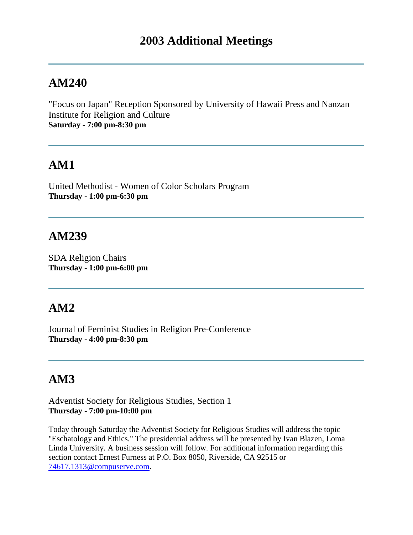"Focus on Japan" Reception Sponsored by University of Hawaii Press and Nanzan Institute for Religion and Culture **Saturday - 7:00 pm-8:30 pm**

# **AM1**

United Methodist - Women of Color Scholars Program **Thursday - 1:00 pm-6:30 pm**

### **AM239**

SDA Religion Chairs **Thursday - 1:00 pm-6:00 pm**

### **AM2**

Journal of Feminist Studies in Religion Pre-Conference **Thursday - 4:00 pm-8:30 pm**

# **AM3**

Adventist Society for Religious Studies, Section 1 **Thursday - 7:00 pm-10:00 pm**

Today through Saturday the Adventist Society for Religious Studies will address the topic "Eschatology and Ethics." The presidential address will be presented by Ivan Blazen, Loma Linda University. A business session will follow. For additional information regarding this section contact Ernest Furness at P.O. Box 8050, Riverside, CA 92515 or [74617.1313@compuserve.com.](mailto:74617.1313@compuserve.com)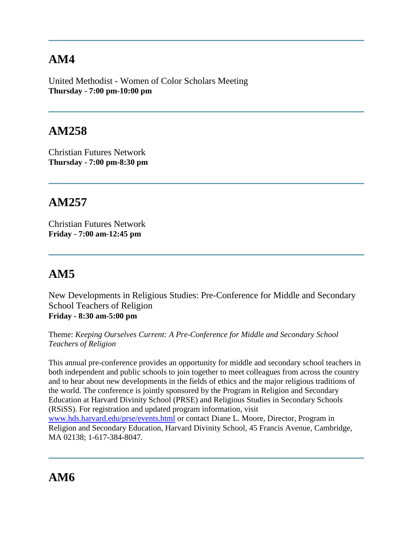United Methodist - Women of Color Scholars Meeting **Thursday - 7:00 pm-10:00 pm**

# **AM258**

Christian Futures Network **Thursday - 7:00 pm-8:30 pm**

## **AM257**

Christian Futures Network **Friday - 7:00 am-12:45 pm**

# **AM5**

New Developments in Religious Studies: Pre-Conference for Middle and Secondary School Teachers of Religion **Friday - 8:30 am-5:00 pm**

Theme: *Keeping Ourselves Current: A Pre-Conference for Middle and Secondary School Teachers of Religion*

This annual pre-conference provides an opportunity for middle and secondary school teachers in both independent and public schools to join together to meet colleagues from across the country and to hear about new developments in the fields of ethics and the major religious traditions of the world. The conference is jointly sponsored by the Program in Religion and Secondary Education at Harvard Divinity School (PRSE) and Religious Studies in Secondary Schools (RSiSS). For registration and updated program information, visit [www.hds.harvard.edu/prse/events.html](http://www.hds.harvard.edu/prse/events.html) or contact Diane L. Moore, Director, Program in Religion and Secondary Education, Harvard Divinity School, 45 Francis Avenue, Cambridge, MA 02138; 1-617-384-8047.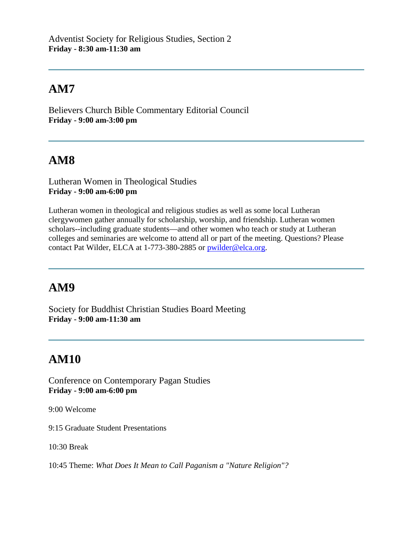Believers Church Bible Commentary Editorial Council **Friday - 9:00 am-3:00 pm**

# **AM8**

Lutheran Women in Theological Studies **Friday - 9:00 am-6:00 pm**

Lutheran women in theological and religious studies as well as some local Lutheran clergywomen gather annually for scholarship, worship, and friendship. Lutheran women scholars--including graduate students—and other women who teach or study at Lutheran colleges and seminaries are welcome to attend all or part of the meeting. Questions? Please contact Pat Wilder, ELCA at 1-773-380-2885 or [pwilder@elca.org.](mailto:pwilder@elca.org)

# **AM9**

Society for Buddhist Christian Studies Board Meeting **Friday - 9:00 am-11:30 am**

# **AM10**

Conference on Contemporary Pagan Studies **Friday - 9:00 am-6:00 pm**

9:00 Welcome

9:15 Graduate Student Presentations

10:30 Break

10:45 Theme: *What Does It Mean to Call Paganism a "Nature Religion"?*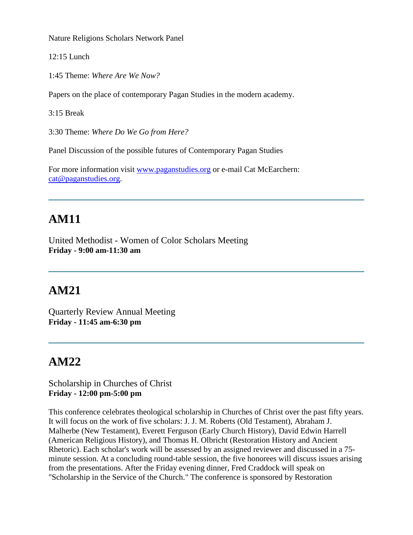Nature Religions Scholars Network Panel

12:15 Lunch

1:45 Theme: *Where Are We Now?* 

Papers on the place of contemporary Pagan Studies in the modern academy.

3:15 Break

3:30 Theme: *Where Do We Go from Here?*

Panel Discussion of the possible futures of Contemporary Pagan Studies

For more information visit [www.paganstudies.org](http://www.paganstudies.org/) or e-mail Cat McEarchern: [cat@paganstudies.org.](mailto:cat@paganstudies.org)

# **AM11**

United Methodist - Women of Color Scholars Meeting **Friday - 9:00 am-11:30 am**

### **AM21**

Quarterly Review Annual Meeting **Friday - 11:45 am-6:30 pm**

### **AM22**

Scholarship in Churches of Christ **Friday - 12:00 pm-5:00 pm**

This conference celebrates theological scholarship in Churches of Christ over the past fifty years. It will focus on the work of five scholars: J. J. M. Roberts (Old Testament), Abraham J. Malherbe (New Testament), Everett Ferguson (Early Church History), David Edwin Harrell (American Religious History), and Thomas H. Olbricht (Restoration History and Ancient Rhetoric). Each scholar's work will be assessed by an assigned reviewer and discussed in a 75 minute session. At a concluding round-table session, the five honorees will discuss issues arising from the presentations. After the Friday evening dinner, Fred Craddock will speak on "Scholarship in the Service of the Church." The conference is sponsored by Restoration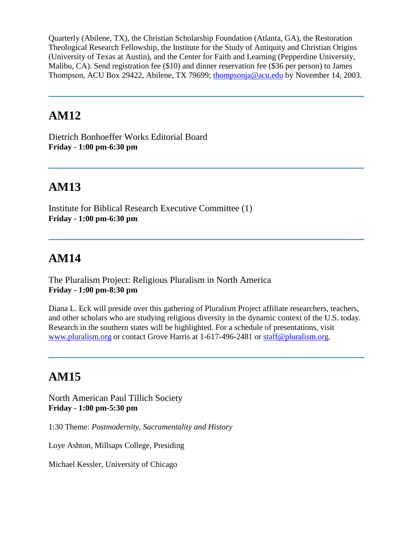Quarterly (Abilene, TX), the Christian Scholarship Foundation (Atlanta, GA), the Restoration Theological Research Fellowship, the Institute for the Study of Antiquity and Christian Origins (University of Texas at Austin), and the Center for Faith and Learning (Pepperdine University, Malibu, CA). Send registration fee (\$10) and dinner reservation fee (\$36 per person) to James Thompson, ACU Box 29422, Abilene, TX 79699; [thompsonja@acu.edu](mailto:thompsonja@acu.edu) by November 14, 2003.

#### **AM12**

Dietrich Bonhoeffer Works Editorial Board **Friday - 1:00 pm-6:30 pm**

# **AM13**

Institute for Biblical Research Executive Committee (1) **Friday - 1:00 pm-6:30 pm**

# **AM14**

The Pluralism Project: Religious Pluralism in North America **Friday - 1:00 pm-8:30 pm**

Diana L. Eck will preside over this gathering of Pluralism Project affiliate researchers, teachers, and other scholars who are studying religious diversity in the dynamic context of the U.S. today. Research in the southern states will be highlighted. For a schedule of presentations, visit [www.pluralism.org](http://www.pluralism.org/) or contact Grove Harris at 1-617-496-2481 or [staff@pluralism.org.](mailto:staff@pluralism.org)

# **AM15**

North American Paul Tillich Society **Friday - 1:00 pm-5:30 pm**

1:30 Theme: *Postmodernity, Sacramentality and History*

Loye Ashton, Millsaps College, Presiding

Michael Kessler, University of Chicago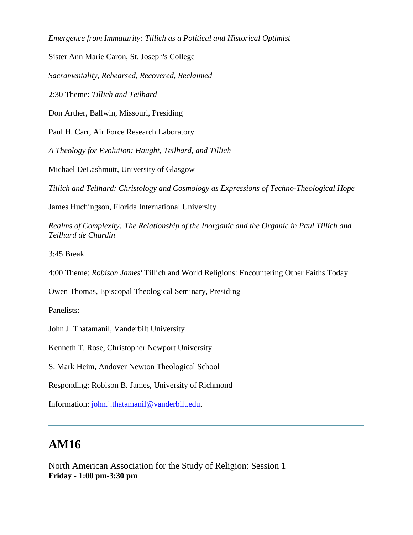*Emergence from Immaturity: Tillich as a Political and Historical Optimist*

Sister Ann Marie Caron, St. Joseph's College

*Sacramentality, Rehearsed, Recovered, Reclaimed*

2:30 Theme: *Tillich and Teilhard*

Don Arther, Ballwin, Missouri, Presiding

Paul H. Carr, Air Force Research Laboratory

*A Theology for Evolution: Haught, Teilhard, and Tillich*

Michael DeLashmutt, University of Glasgow

*Tillich and Teilhard: Christology and Cosmology as Expressions of Techno-Theological Hope*

James Huchingson, Florida International University

*Realms of Complexity: The Relationship of the Inorganic and the Organic in Paul Tillich and Teilhard de Chardin*

3:45 Break

4:00 Theme: *Robison James'* Tillich and World Religions: Encountering Other Faiths Today

Owen Thomas, Episcopal Theological Seminary, Presiding

Panelists:

John J. Thatamanil, Vanderbilt University

Kenneth T. Rose, Christopher Newport University

S. Mark Heim, Andover Newton Theological School

Responding: Robison B. James, University of Richmond

Information: [john.j.thatamanil@vanderbilt.edu.](mailto:john.j.thatamanil@vanderbilt.edu)

# **AM16**

North American Association for the Study of Religion: Session 1 **Friday - 1:00 pm-3:30 pm**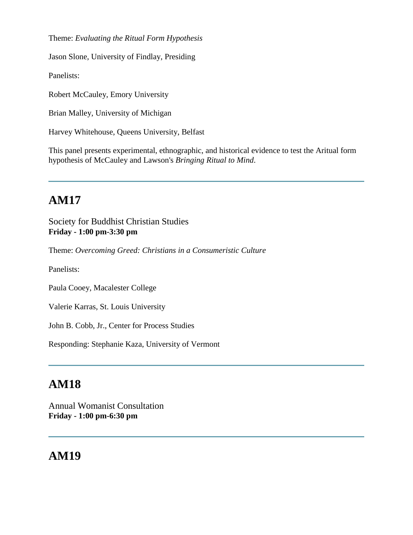Theme: *Evaluating the Ritual Form Hypothesis*

Jason Slone, University of Findlay, Presiding

Panelists:

Robert McCauley, Emory University

Brian Malley, University of Michigan

Harvey Whitehouse, Queens University, Belfast

This panel presents experimental, ethnographic, and historical evidence to test the Aritual form hypothesis of McCauley and Lawson's *Bringing Ritual to Mind*.

# **AM17**

Society for Buddhist Christian Studies **Friday - 1:00 pm-3:30 pm**

Theme: *Overcoming Greed: Christians in a Consumeristic Culture*

Panelists:

Paula Cooey, Macalester College

Valerie Karras, St. Louis University

John B. Cobb, Jr., Center for Process Studies

Responding: Stephanie Kaza, University of Vermont

#### **AM18**

Annual Womanist Consultation **Friday - 1:00 pm-6:30 pm**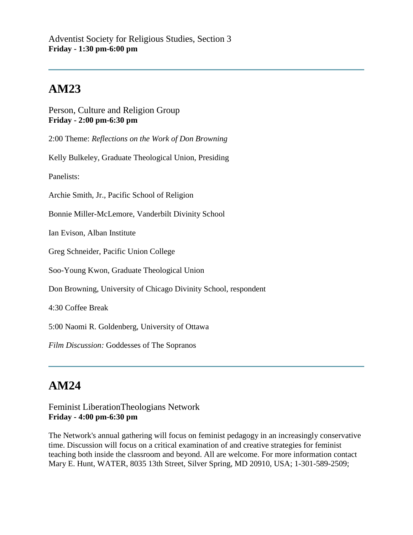Person, Culture and Religion Group **Friday - 2:00 pm-6:30 pm**

2:00 Theme: *Reflections on the Work of Don Browning*

Kelly Bulkeley, Graduate Theological Union, Presiding

Panelists:

Archie Smith, Jr., Pacific School of Religion

Bonnie Miller-McLemore, Vanderbilt Divinity School

Ian Evison, Alban Institute

Greg Schneider, Pacific Union College

Soo-Young Kwon, Graduate Theological Union

Don Browning, University of Chicago Divinity School, respondent

4:30 Coffee Break

5:00 Naomi R. Goldenberg, University of Ottawa

*Film Discussion:* Goddesses of The Sopranos

### **AM24**

#### Feminist LiberationTheologians Network **Friday - 4:00 pm-6:30 pm**

The Network's annual gathering will focus on feminist pedagogy in an increasingly conservative time. Discussion will focus on a critical examination of and creative strategies for feminist teaching both inside the classroom and beyond. All are welcome. For more information contact Mary E. Hunt, WATER, 8035 13th Street, Silver Spring, MD 20910, USA; 1-301-589-2509;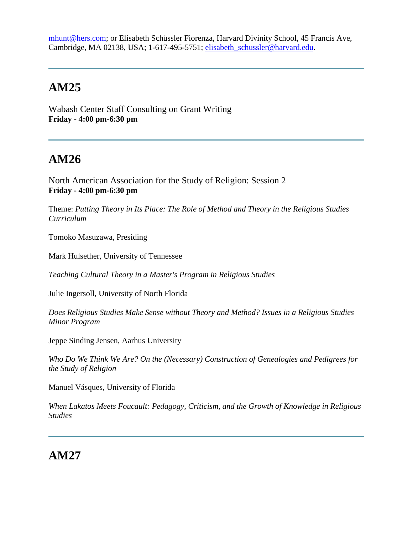[mhunt@hers.com;](mailto:mhunt@hers.com) or Elisabeth Schüssler Fiorenza, Harvard Divinity School, 45 Francis Ave, Cambridge, MA 02138, USA; 1-617-495-5751; [elisabeth\\_schussler@harvard.edu.](mailto:elisabeth_schussler@harvard.edu)

# **AM25**

Wabash Center Staff Consulting on Grant Writing **Friday - 4:00 pm-6:30 pm**

# **AM26**

North American Association for the Study of Religion: Session 2 **Friday - 4:00 pm-6:30 pm**

Theme: *Putting Theory in Its Place: The Role of Method and Theory in the Religious Studies Curriculum*

Tomoko Masuzawa, Presiding

Mark Hulsether, University of Tennessee

*Teaching Cultural Theory in a Master's Program in Religious Studies*

Julie Ingersoll, University of North Florida

*Does Religious Studies Make Sense without Theory and Method? Issues in a Religious Studies Minor Program*

Jeppe Sinding Jensen, Aarhus University

*Who Do We Think We Are? On the (Necessary) Construction of Genealogies and Pedigrees for the Study of Religion*

Manuel Vásques, University of Florida

*When Lakatos Meets Foucault: Pedagogy, Criticism, and the Growth of Knowledge in Religious Studies*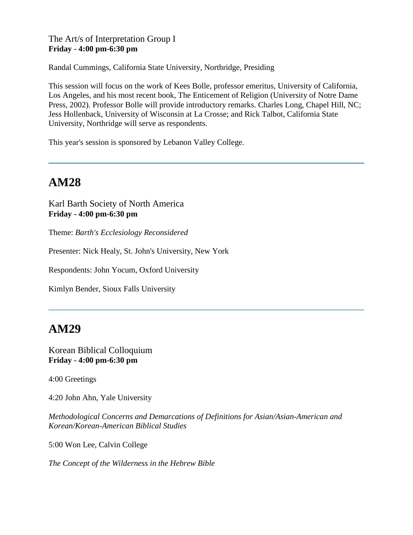#### The Art/s of Interpretation Group I **Friday - 4:00 pm-6:30 pm**

Randal Cummings, California State University, Northridge, Presiding

This session will focus on the work of Kees Bolle, professor emeritus, University of California, Los Angeles, and his most recent book, The Enticement of Religion (University of Notre Dame Press, 2002). Professor Bolle will provide introductory remarks. Charles Long, Chapel Hill, NC; Jess Hollenback, University of Wisconsin at La Crosse; and Rick Talbot, California State University, Northridge will serve as respondents.

This year's session is sponsored by Lebanon Valley College.

## **AM28**

Karl Barth Society of North America **Friday - 4:00 pm-6:30 pm**

Theme: *Barth's Ecclesiology Reconsidered*

Presenter: Nick Healy, St. John's University, New York

Respondents: John Yocum, Oxford University

Kimlyn Bender, Sioux Falls University

### **AM29**

Korean Biblical Colloquium **Friday - 4:00 pm-6:30 pm**

4:00 Greetings

4:20 John Ahn, Yale University

*Methodological Concerns and Demarcations of Definitions for Asian/Asian-American and Korean/Korean-American Biblical Studies*

5:00 Won Lee, Calvin College

*The Concept of the Wilderness in the Hebrew Bible*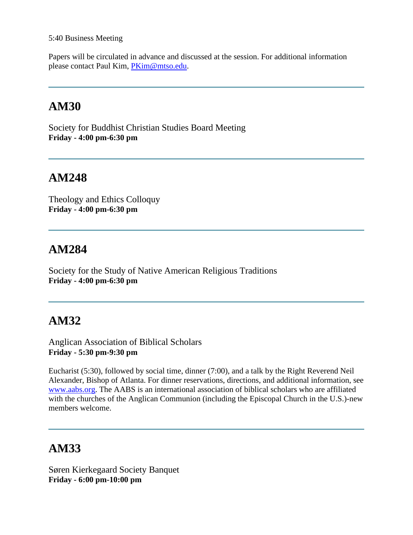#### 5:40 Business Meeting

Papers will be circulated in advance and discussed at the session. For additional information please contact Paul Kim, [PKim@mtso.edu.](mailto:PKim@mtso.edu)

## **AM30**

Society for Buddhist Christian Studies Board Meeting **Friday - 4:00 pm-6:30 pm**

#### **AM248**

Theology and Ethics Colloquy **Friday - 4:00 pm-6:30 pm**

### **AM284**

Society for the Study of Native American Religious Traditions **Friday - 4:00 pm-6:30 pm**

### **AM32**

Anglican Association of Biblical Scholars **Friday - 5:30 pm-9:30 pm**

Eucharist (5:30), followed by social time, dinner (7:00), and a talk by the Right Reverend Neil Alexander, Bishop of Atlanta. For dinner reservations, directions, and additional information, see [www.aabs.org.](http://www.aabs.org/) The AABS is an international association of biblical scholars who are affiliated with the churches of the Anglican Communion (including the Episcopal Church in the U.S.)-new members welcome.

# **AM33**

Søren Kierkegaard Society Banquet **Friday - 6:00 pm-10:00 pm**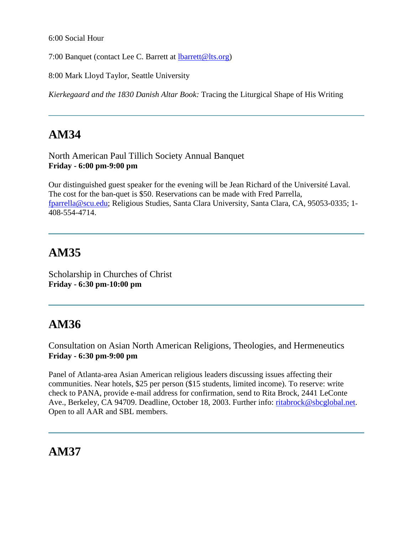6:00 Social Hour

7:00 Banquet (contact Lee C. Barrett at [lbarrett@lts.org\)](mailto:lbarrett@lts.org)

8:00 Mark Lloyd Taylor, Seattle University

*Kierkegaard and the 1830 Danish Altar Book:* Tracing the Liturgical Shape of His Writing

# **AM34**

North American Paul Tillich Society Annual Banquet **Friday - 6:00 pm-9:00 pm**

Our distinguished guest speaker for the evening will be Jean Richard of the Université Laval. The cost for the ban-quet is \$50. Reservations can be made with Fred Parrella, [fparrella@scu.edu;](mailto:fparrella@scu.edu) Religious Studies, Santa Clara University, Santa Clara, CA, 95053-0335; 1- 408-554-4714.

# **AM35**

Scholarship in Churches of Christ **Friday - 6:30 pm-10:00 pm**

# **AM36**

Consultation on Asian North American Religions, Theologies, and Hermeneutics **Friday - 6:30 pm-9:00 pm**

Panel of Atlanta-area Asian American religious leaders discussing issues affecting their communities. Near hotels, \$25 per person (\$15 students, limited income). To reserve: write check to PANA, provide e-mail address for confirmation, send to Rita Brock, 2441 LeConte Ave., Berkeley, CA 94709. Deadline, October 18, 2003. Further info: [ritabrock@sbcglobal.net.](mailto:ritabrock@sbcglobal.net) Open to all AAR and SBL members.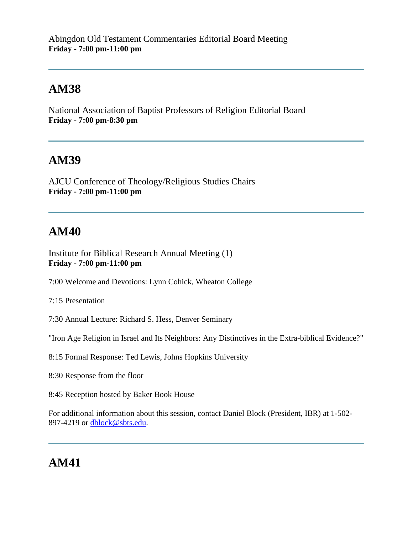Abingdon Old Testament Commentaries Editorial Board Meeting **Friday - 7:00 pm-11:00 pm**

#### **AM38**

National Association of Baptist Professors of Religion Editorial Board **Friday - 7:00 pm-8:30 pm**

#### **AM39**

AJCU Conference of Theology/Religious Studies Chairs **Friday - 7:00 pm-11:00 pm**

### **AM40**

Institute for Biblical Research Annual Meeting (1) **Friday - 7:00 pm-11:00 pm**

7:00 Welcome and Devotions: Lynn Cohick, Wheaton College

7:15 Presentation

7:30 Annual Lecture: Richard S. Hess, Denver Seminary

"Iron Age Religion in Israel and Its Neighbors: Any Distinctives in the Extra-biblical Evidence?"

8:15 Formal Response: Ted Lewis, Johns Hopkins University

8:30 Response from the floor

8:45 Reception hosted by Baker Book House

For additional information about this session, contact Daniel Block (President, IBR) at 1-502- 897-4219 or [dblock@sbts.edu.](mailto:dblock@sbts.edu)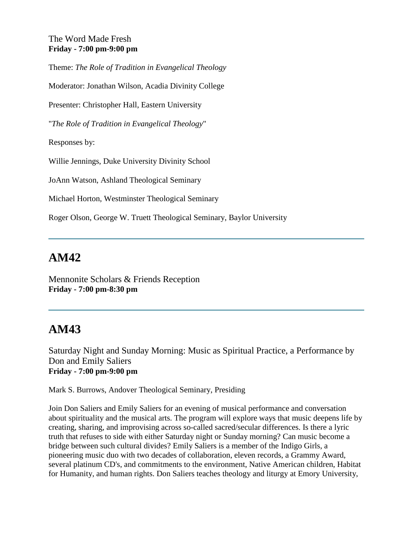#### The Word Made Fresh **Friday - 7:00 pm-9:00 pm**

Theme: *The Role of Tradition in Evangelical Theology*

Moderator: Jonathan Wilson, Acadia Divinity College

Presenter: Christopher Hall, Eastern University

"*The Role of Tradition in Evangelical Theology*"

Responses by:

Willie Jennings, Duke University Divinity School

JoAnn Watson, Ashland Theological Seminary

Michael Horton, Westminster Theological Seminary

Roger Olson, George W. Truett Theological Seminary, Baylor University

#### **AM42**

Mennonite Scholars & Friends Reception **Friday - 7:00 pm-8:30 pm**

### **AM43**

Saturday Night and Sunday Morning: Music as Spiritual Practice, a Performance by Don and Emily Saliers **Friday - 7:00 pm-9:00 pm**

Mark S. Burrows, Andover Theological Seminary, Presiding

Join Don Saliers and Emily Saliers for an evening of musical performance and conversation about spirituality and the musical arts. The program will explore ways that music deepens life by creating, sharing, and improvising across so-called sacred/secular differences. Is there a lyric truth that refuses to side with either Saturday night or Sunday morning? Can music become a bridge between such cultural divides? Emily Saliers is a member of the Indigo Girls, a pioneering music duo with two decades of collaboration, eleven records, a Grammy Award, several platinum CD's, and commitments to the environment, Native American children, Habitat for Humanity, and human rights. Don Saliers teaches theology and liturgy at Emory University,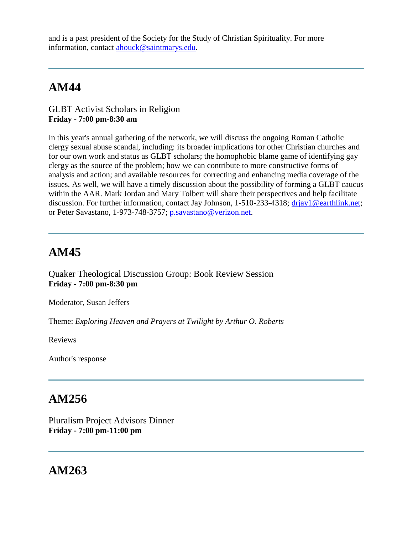and is a past president of the Society for the Study of Christian Spirituality. For more information, contact [ahouck@saintmarys.edu.](mailto:ahouck@saintmarys.edu)

# **AM44**

GLBT Activist Scholars in Religion **Friday - 7:00 pm-8:30 am**

In this year's annual gathering of the network, we will discuss the ongoing Roman Catholic clergy sexual abuse scandal, including: its broader implications for other Christian churches and for our own work and status as GLBT scholars; the homophobic blame game of identifying gay clergy as the source of the problem; how we can contribute to more constructive forms of analysis and action; and available resources for correcting and enhancing media coverage of the issues. As well, we will have a timely discussion about the possibility of forming a GLBT caucus within the AAR. Mark Jordan and Mary Tolbert will share their perspectives and help facilitate discussion. For further information, contact Jay Johnson, 1-510-233-4318; driay1@earthlink.net; or Peter Savastano, 1-973-748-3757; [p.savastano@verizon.net.](mailto:p.savastano@verizon.net)

### **AM45**

Quaker Theological Discussion Group: Book Review Session **Friday - 7:00 pm-8:30 pm**

Moderator, Susan Jeffers

Theme: *Exploring Heaven and Prayers at Twilight by Arthur O. Roberts*

Reviews

Author's response

# **AM256**

Pluralism Project Advisors Dinner **Friday - 7:00 pm-11:00 pm**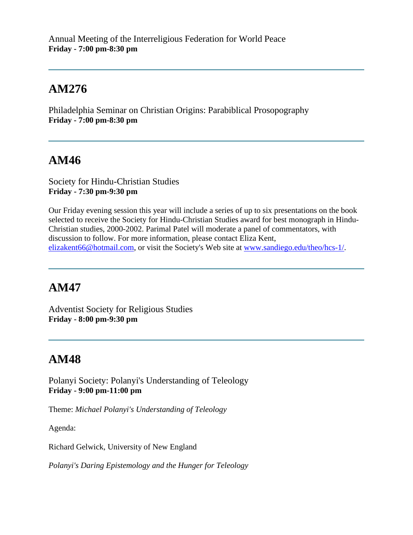Philadelphia Seminar on Christian Origins: Parabiblical Prosopography **Friday - 7:00 pm-8:30 pm**

# **AM46**

Society for Hindu-Christian Studies **Friday - 7:30 pm-9:30 pm**

Our Friday evening session this year will include a series of up to six presentations on the book selected to receive the Society for Hindu-Christian Studies award for best monograph in Hindu-Christian studies, 2000-2002. Parimal Patel will moderate a panel of commentators, with discussion to follow. For more information, please contact Eliza Kent, [elizakent66@hotmail.com,](mailto:elizakent66@hotmail.com) or visit the Society's Web site at [www.sandiego.edu/theo/hcs-1/.](http://www.sandiego.edu/theo/hcs-1/)

# **AM47**

Adventist Society for Religious Studies **Friday - 8:00 pm-9:30 pm**

# **AM48**

Polanyi Society: Polanyi's Understanding of Teleology **Friday - 9:00 pm-11:00 pm**

Theme: *Michael Polanyi's Understanding of Teleology*

Agenda:

Richard Gelwick, University of New England

*Polanyi's Daring Epistemology and the Hunger for Teleology*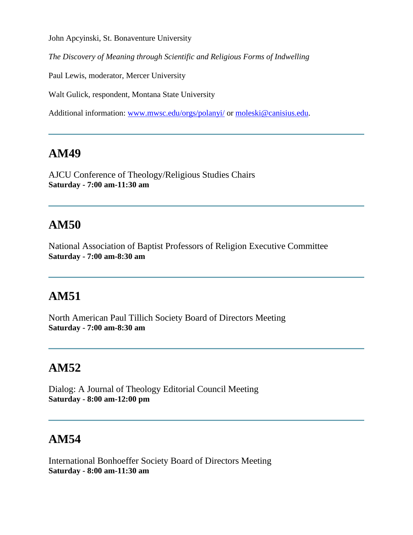John Apcyinski, St. Bonaventure University

*The Discovery of Meaning through Scientific and Religious Forms of Indwelling*

Paul Lewis, moderator, Mercer University

Walt Gulick, respondent, Montana State University

Additional information: [www.mwsc.edu/orgs/polanyi/](http://www.mwsc.edu/orgs/polanyi/) or [moleski@canisius.edu.](mailto:moleski@canisius.edu)

#### **AM49**

AJCU Conference of Theology/Religious Studies Chairs **Saturday - 7:00 am-11:30 am**

## **AM50**

National Association of Baptist Professors of Religion Executive Committee **Saturday - 7:00 am-8:30 am**

### **AM51**

North American Paul Tillich Society Board of Directors Meeting **Saturday - 7:00 am-8:30 am**

# **AM52**

Dialog: A Journal of Theology Editorial Council Meeting **Saturday - 8:00 am-12:00 pm**

### **AM54**

International Bonhoeffer Society Board of Directors Meeting **Saturday - 8:00 am-11:30 am**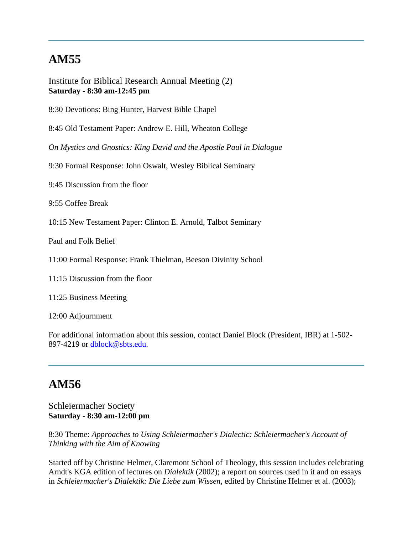Institute for Biblical Research Annual Meeting (2) **Saturday - 8:30 am-12:45 pm**

8:30 Devotions: Bing Hunter, Harvest Bible Chapel

8:45 Old Testament Paper: Andrew E. Hill, Wheaton College

*On Mystics and Gnostics: King David and the Apostle Paul in Dialogue*

9:30 Formal Response: John Oswalt, Wesley Biblical Seminary

9:45 Discussion from the floor

9:55 Coffee Break

10:15 New Testament Paper: Clinton E. Arnold, Talbot Seminary

Paul and Folk Belief

11:00 Formal Response: Frank Thielman, Beeson Divinity School

11:15 Discussion from the floor

11:25 Business Meeting

12:00 Adjournment

For additional information about this session, contact Daniel Block (President, IBR) at 1-502- 897-4219 or [dblock@sbts.edu.](mailto:dblock@sbts.edu)

#### **AM56**

#### Schleiermacher Society **Saturday - 8:30 am-12:00 pm**

8:30 Theme: *Approaches to Using Schleiermacher's Dialectic: Schleiermacher's Account of Thinking with the Aim of Knowing*

Started off by Christine Helmer, Claremont School of Theology, this session includes celebrating Arndt's KGA edition of lectures on *Dialektik* (2002); a report on sources used in it and on essays in *Schleiermacher's Dialektik: Die Liebe zum Wissen*, edited by Christine Helmer et al. (2003);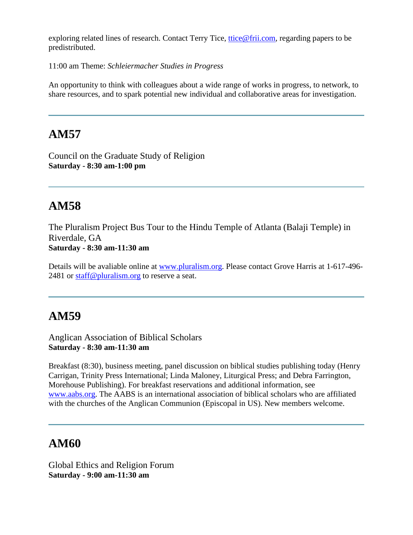exploring related lines of research. Contact Terry Tice, [ttice@frii.com,](mailto:ttice@frii.com) regarding papers to be predistributed.

11:00 am Theme: *Schleiermacher Studies in Progress*

An opportunity to think with colleagues about a wide range of works in progress, to network, to share resources, and to spark potential new individual and collaborative areas for investigation.

#### **AM57**

Council on the Graduate Study of Religion **Saturday - 8:30 am-1:00 pm**

### **AM58**

The Pluralism Project Bus Tour to the Hindu Temple of Atlanta (Balaji Temple) in Riverdale, GA **Saturday - 8:30 am-11:30 am**

Details will be avaliable online at [www.pluralism.org.](http://www.pluralism.org/) Please contact Grove Harris at 1-617-496 2481 or [staff@pluralism.org](mailto:staff@pluralism.org) to reserve a seat.

# **AM59**

Anglican Association of Biblical Scholars **Saturday - 8:30 am-11:30 am**

Breakfast (8:30), business meeting, panel discussion on biblical studies publishing today (Henry Carrigan, Trinity Press International; Linda Maloney, Liturgical Press; and Debra Farrington, Morehouse Publishing). For breakfast reservations and additional information, see [www.aabs.org.](http://www.aabs.org/) The AABS is an international association of biblical scholars who are affiliated with the churches of the Anglican Communion (Episcopal in US). New members welcome.

### **AM60**

Global Ethics and Religion Forum **Saturday - 9:00 am-11:30 am**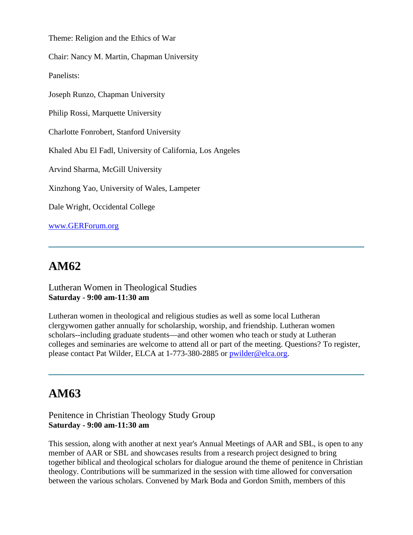Theme: Religion and the Ethics of War

Chair: Nancy M. Martin, Chapman University

Panelists:

Joseph Runzo, Chapman University

Philip Rossi, Marquette University

Charlotte Fonrobert, Stanford University

Khaled Abu El Fadl, University of California, Los Angeles

Arvind Sharma, McGill University

Xinzhong Yao, University of Wales, Lampeter

Dale Wright, Occidental College

[www.GERForum.org](http://www.gerforum.org/)

### **AM62**

Lutheran Women in Theological Studies **Saturday - 9:00 am-11:30 am**

Lutheran women in theological and religious studies as well as some local Lutheran clergywomen gather annually for scholarship, worship, and friendship. Lutheran women scholars--including graduate students—and other women who teach or study at Lutheran colleges and seminaries are welcome to attend all or part of the meeting. Questions? To register, please contact Pat Wilder, ELCA at 1-773-380-2885 or [pwilder@elca.org.](mailto:pwilder@elca.org)

#### **AM63**

Penitence in Christian Theology Study Group **Saturday - 9:00 am-11:30 am**

This session, along with another at next year's Annual Meetings of AAR and SBL, is open to any member of AAR or SBL and showcases results from a research project designed to bring together biblical and theological scholars for dialogue around the theme of penitence in Christian theology. Contributions will be summarized in the session with time allowed for conversation between the various scholars. Convened by Mark Boda and Gordon Smith, members of this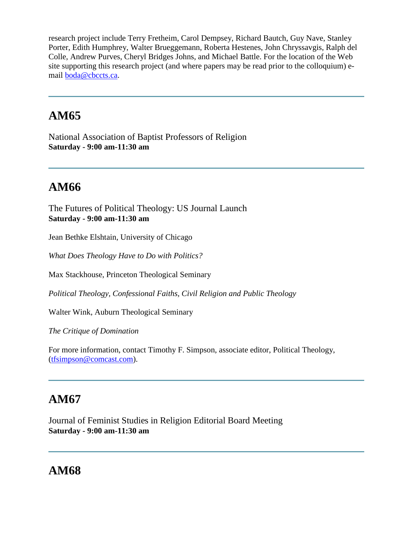research project include Terry Fretheim, Carol Dempsey, Richard Bautch, Guy Nave, Stanley Porter, Edith Humphrey, Walter Brueggemann, Roberta Hestenes, John Chryssavgis, Ralph del Colle, Andrew Purves, Cheryl Bridges Johns, and Michael Battle. For the location of the Web site supporting this research project (and where papers may be read prior to the colloquium) email [boda@cbccts.ca.](mailto:boda@cbccts.ca)

# **AM65**

National Association of Baptist Professors of Religion **Saturday - 9:00 am-11:30 am**

# **AM66**

The Futures of Political Theology: US Journal Launch **Saturday - 9:00 am-11:30 am**

Jean Bethke Elshtain, University of Chicago

*What Does Theology Have to Do with Politics?*

Max Stackhouse, Princeton Theological Seminary

*Political Theology, Confessional Faiths, Civil Religion and Public Theology*

Walter Wink, Auburn Theological Seminary

*The Critique of Domination*

For more information, contact Timothy F. Simpson, associate editor, Political Theology, [\(tfsimpson@comcast.com\)](mailto:tfsimpson@comcast.com).

# **AM67**

Journal of Feminist Studies in Religion Editorial Board Meeting **Saturday - 9:00 am-11:30 am**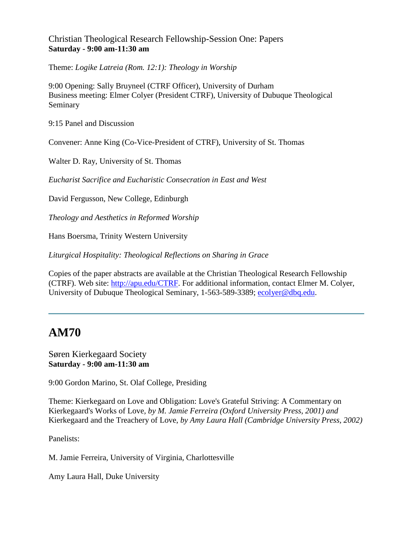#### Christian Theological Research Fellowship-Session One: Papers **Saturday - 9:00 am-11:30 am**

Theme: *Logike Latreia (Rom. 12:1): Theology in Worship*

9:00 Opening: Sally Bruyneel (CTRF Officer), University of Durham Business meeting: Elmer Colyer (President CTRF), University of Dubuque Theological Seminary

9:15 Panel and Discussion

Convener: Anne King (Co-Vice-President of CTRF), University of St. Thomas

Walter D. Ray, University of St. Thomas

*Eucharist Sacrifice and Eucharistic Consecration in East and West*

David Fergusson, New College, Edinburgh

*Theology and Aesthetics in Reformed Worship*

Hans Boersma, Trinity Western University

*Liturgical Hospitality: Theological Reflections on Sharing in Grace*

Copies of the paper abstracts are available at the Christian Theological Research Fellowship (CTRF). Web site: [http://apu.edu/CTRF.](http://apu.edu/CTRF) For additional information, contact Elmer M. Colyer, University of Dubuque Theological Seminary, 1-563-589-3389; [ecolyer@dbq.edu.](mailto:ecolyer@dbq.edu)

### **AM70**

#### Søren Kierkegaard Society **Saturday - 9:00 am-11:30 am**

9:00 Gordon Marino, St. Olaf College, Presiding

Theme: Kierkegaard on Love and Obligation: Love's Grateful Striving: A Commentary on Kierkegaard's Works of Love*, by M. Jamie Ferreira (Oxford University Press, 2001) and* Kierkegaard and the Treachery of Love, *by Amy Laura Hall (Cambridge University Press, 2002)*

Panelists:

M. Jamie Ferreira, University of Virginia, Charlottesville

Amy Laura Hall, Duke University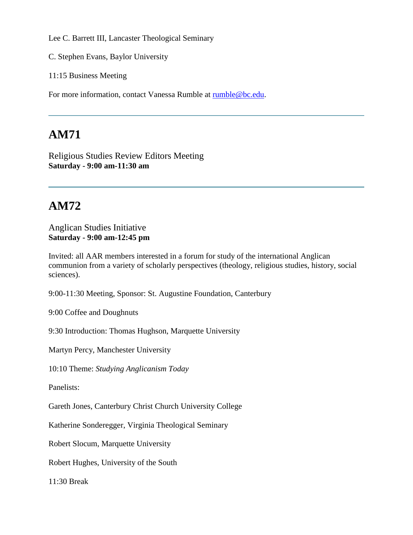Lee C. Barrett III, Lancaster Theological Seminary

C. Stephen Evans, Baylor University

11:15 Business Meeting

For more information, contact Vanessa Rumble at [rumble@bc.edu.](mailto:rumble@bc.edu)

## **AM71**

Religious Studies Review Editors Meeting **Saturday - 9:00 am-11:30 am**

# **AM72**

#### Anglican Studies Initiative **Saturday - 9:00 am-12:45 pm**

Invited: all AAR members interested in a forum for study of the international Anglican communion from a variety of scholarly perspectives (theology, religious studies, history, social sciences).

9:00-11:30 Meeting, Sponsor: St. Augustine Foundation, Canterbury

9:00 Coffee and Doughnuts

9:30 Introduction: Thomas Hughson, Marquette University

Martyn Percy, Manchester University

10:10 Theme: *Studying Anglicanism Today*

Panelists:

Gareth Jones, Canterbury Christ Church University College

Katherine Sonderegger, Virginia Theological Seminary

Robert Slocum, Marquette University

Robert Hughes, University of the South

11:30 Break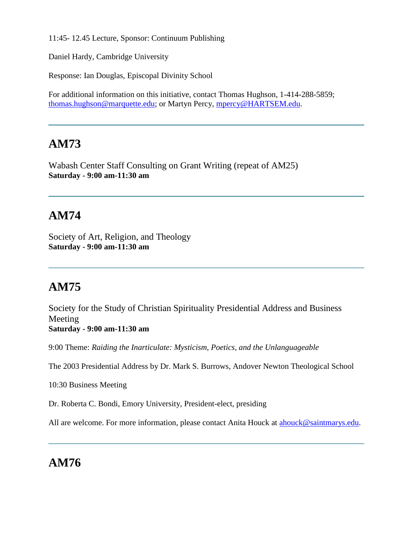11:45- 12.45 Lecture, Sponsor: Continuum Publishing

Daniel Hardy, Cambridge University

Response: Ian Douglas, Episcopal Divinity School

For additional information on this initiative, contact Thomas Hughson, 1-414-288-5859; [thomas.hughson@marquette.edu;](mailto:thomas.hughson@marquette.edu) or Martyn Percy, [mpercy@HARTSEM.edu.](mailto:mpercy@HARTSEM.edu)

## **AM73**

Wabash Center Staff Consulting on Grant Writing (repeat of AM25) **Saturday - 9:00 am-11:30 am**

# **AM74**

Society of Art, Religion, and Theology **Saturday - 9:00 am-11:30 am**

# **AM75**

Society for the Study of Christian Spirituality Presidential Address and Business Meeting **Saturday - 9:00 am-11:30 am**

9:00 Theme: *Raiding the Inarticulate: Mysticism, Poetics, and the Unlanguageable*

The 2003 Presidential Address by Dr. Mark S. Burrows, Andover Newton Theological School

10:30 Business Meeting

Dr. Roberta C. Bondi, Emory University, President-elect, presiding

All are welcome. For more information, please contact Anita Houck at [ahouck@saintmarys.edu.](mailto:ahouck@saintmarys.edu)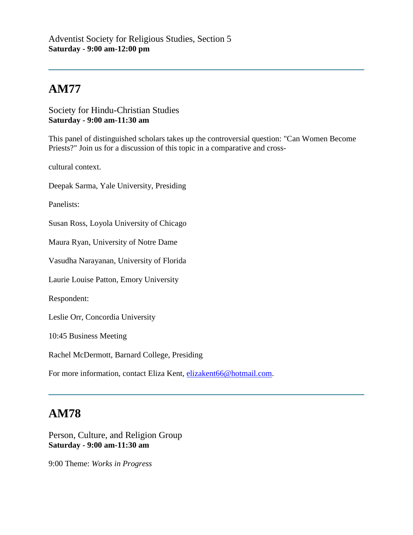Society for Hindu-Christian Studies **Saturday - 9:00 am-11:30 am**

This panel of distinguished scholars takes up the controversial question: "Can Women Become Priests?" Join us for a discussion of this topic in a comparative and cross-

cultural context.

Deepak Sarma, Yale University, Presiding

Panelists:

Susan Ross, Loyola University of Chicago

Maura Ryan, University of Notre Dame

Vasudha Narayanan, University of Florida

Laurie Louise Patton, Emory University

Respondent:

Leslie Orr, Concordia University

10:45 Business Meeting

Rachel McDermott, Barnard College, Presiding

For more information, contact Eliza Kent, [elizakent66@hotmail.com.](mailto:elizakent66@hotmail.com)

#### **AM78**

Person, Culture, and Religion Group **Saturday - 9:00 am-11:30 am**

9:00 Theme: *Works in Progress*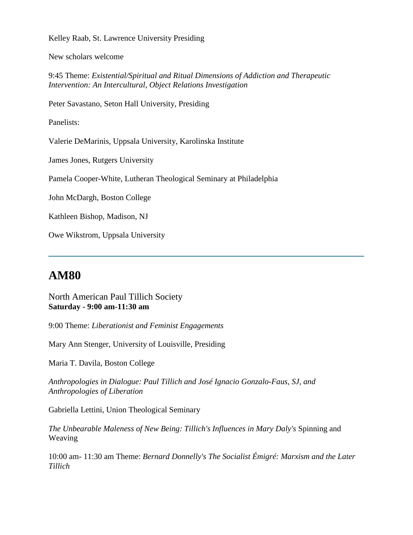Kelley Raab, St. Lawrence University Presiding

New scholars welcome

9:45 Theme: *Existential/Spiritual and Ritual Dimensions of Addiction and Therapeutic Intervention: An Intercultural, Object Relations Investigation*

Peter Savastano, Seton Hall University, Presiding

Panelists:

Valerie DeMarinis, Uppsala University, Karolinska Institute

James Jones, Rutgers University

Pamela Cooper-White, Lutheran Theological Seminary at Philadelphia

John McDargh, Boston College

Kathleen Bishop, Madison, NJ

Owe Wikstrom, Uppsala University

#### **AM80**

North American Paul Tillich Society **Saturday - 9:00 am-11:30 am**

9:00 Theme: *Liberationist and Feminist Engagements*

Mary Ann Stenger, University of Louisville, Presiding

Maria T. Davila, Boston College

*Anthropologies in Dialogue: Paul Tillich and José Ignacio Gonzalo-Faus, SJ, and Anthropologies of Liberation*

Gabriella Lettini, Union Theological Seminary

*The Unbearable Maleness of New Being: Tillich's Influences in Mary Daly's* Spinning and Weaving

10:00 am- 11:30 am Theme: *Bernard Donnelly's The Socialist Émigré: Marxism and the Later Tillich*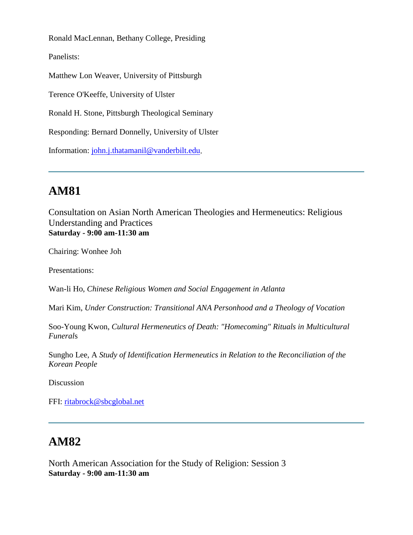Ronald MacLennan, Bethany College, Presiding

Panelists:

Matthew Lon Weaver, University of Pittsburgh

Terence O'Keeffe, University of Ulster

Ronald H. Stone, Pittsburgh Theological Seminary

Responding: Bernard Donnelly, University of Ulster

Information: [john.j.thatamanil@vanderbilt.edu.](mailto:john.j.thatamanil@vanderbilt.edu)

#### **AM81**

Consultation on Asian North American Theologies and Hermeneutics: Religious Understanding and Practices **Saturday - 9:00 am-11:30 am**

Chairing: Wonhee Joh

Presentations:

Wan-li Ho, *Chinese Religious Women and Social Engagement in Atlanta*

Mari Kim, *Under Construction: Transitional ANA Personhood and a Theology of Vocation*

Soo-Young Kwon, *Cultural Hermeneutics of Death: "Homecoming" Rituals in Multicultural Funeral*s

Sungho Lee, A *Study of Identification Hermeneutics in Relation to the Reconciliation of the Korean People*

Discussion

FFI: [ritabrock@sbcglobal.net](mailto:ritabrock@sbcglobal.net)

#### **AM82**

North American Association for the Study of Religion: Session 3 **Saturday - 9:00 am-11:30 am**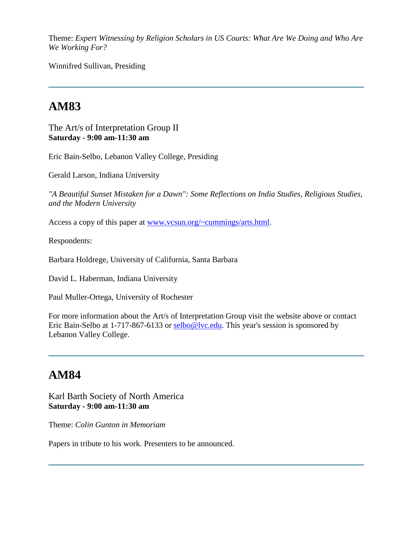Theme: *Expert Witnessing by Religion Scholars in US Courts: What Are We Doing and Who Are We Working For?*

Winnifred Sullivan, Presiding

# **AM83**

The Art/s of Interpretation Group II **Saturday - 9:00 am-11:30 am**

Eric Bain-Selbo, Lebanon Valley College, Presiding

Gerald Larson, Indiana University

*"A Beautiful Sunset Mistaken for a Dawn": Some Reflections on India Studies, Religious Studies, and the Modern University*

Access a copy of this paper at [www.vcsun.org/~cummings/arts.html.](http://www.vcsun.org/~cummings/arts.html)

Respondents:

Barbara Holdrege, University of California, Santa Barbara

David L. Haberman, Indiana University

Paul Muller-Ortega, University of Rochester

For more information about the Art/s of Interpretation Group visit the website above or contact Eric Bain-Selbo at 1-717-867-6133 or [selbo@lvc.edu.](mailto:selbo@lvc.edu) This year's session is sponsored by Lebanon Valley College.

#### **AM84**

Karl Barth Society of North America **Saturday - 9:00 am-11:30 am**

Theme: *Colin Gunton in Memoriam*

Papers in tribute to his work. Presenters to be announced.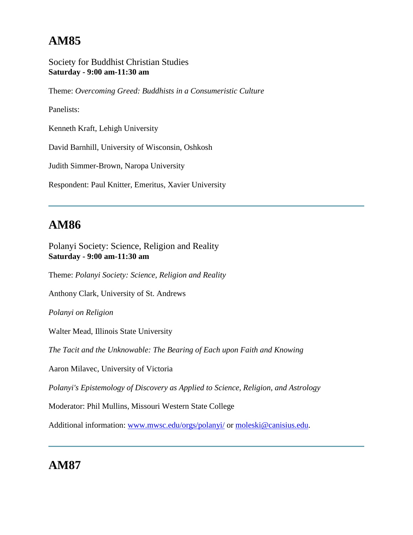Society for Buddhist Christian Studies **Saturday - 9:00 am-11:30 am**

Theme: *Overcoming Greed: Buddhists in a Consumeristic Culture*

Panelists:

Kenneth Kraft, Lehigh University

David Barnhill, University of Wisconsin, Oshkosh

Judith Simmer-Brown, Naropa University

Respondent: Paul Knitter, Emeritus, Xavier University

## **AM86**

Polanyi Society: Science, Religion and Reality **Saturday - 9:00 am-11:30 am**

Theme: *Polanyi Society: Science, Religion and Reality*

Anthony Clark, University of St. Andrews

*Polanyi on Religion*

Walter Mead, Illinois State University

*The Tacit and the Unknowable: The Bearing of Each upon Faith and Knowing*

Aaron Milavec, University of Victoria

*Polanyi's Epistemology of Discovery as Applied to Science, Religion, and Astrology*

Moderator: Phil Mullins, Missouri Western State College

Additional information: [www.mwsc.edu/orgs/polanyi/](http://www.mwsc.edu/orgs/polanyi/) or [moleski@canisius.edu.](mailto:moleski@canisius.edu)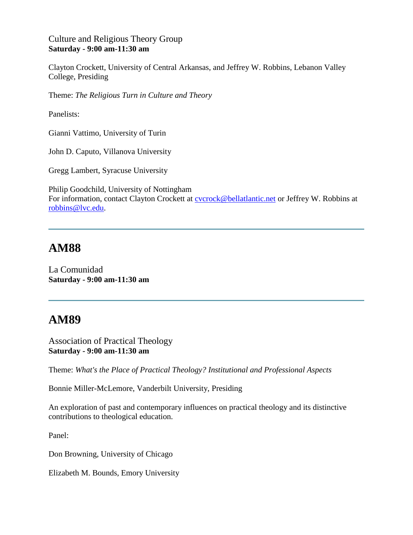#### Culture and Religious Theory Group **Saturday - 9:00 am-11:30 am**

Clayton Crockett, University of Central Arkansas, and Jeffrey W. Robbins, Lebanon Valley College, Presiding

Theme: *The Religious Turn in Culture and Theory*

Panelists:

Gianni Vattimo, University of Turin

John D. Caputo, Villanova University

Gregg Lambert, Syracuse University

Philip Goodchild, University of Nottingham For information, contact Clayton Crockett at [cvcrock@bellatlantic.net](mailto:cvcrock@bellatlantic.net) or Jeffrey W. Robbins at [robbins@lvc.edu.](mailto:robbins@lvc.edu)

#### **AM88**

La Comunidad **Saturday - 9:00 am-11:30 am**

### **AM89**

Association of Practical Theology **Saturday - 9:00 am-11:30 am**

Theme: *What's the Place of Practical Theology? Institutional and Professional Aspects*

Bonnie Miller-McLemore, Vanderbilt University, Presiding

An exploration of past and contemporary influences on practical theology and its distinctive contributions to theological education.

Panel:

Don Browning, University of Chicago

Elizabeth M. Bounds, Emory University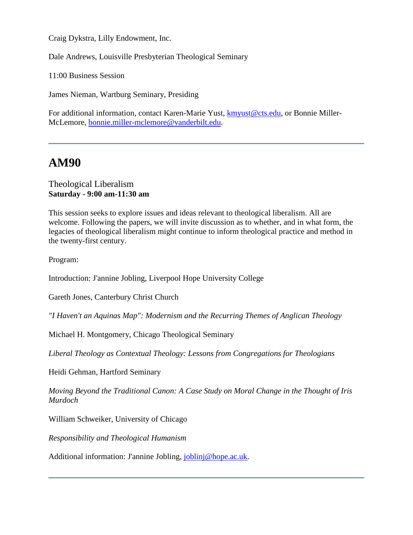Craig Dykstra, Lilly Endowment, Inc.

Dale Andrews, Louisville Presbyterian Theological Seminary

11:00 Business Session

James Nieman, Wartburg Seminary, Presiding

For additional information, contact Karen-Marie Yust, [kmyust@cts.edu,](mailto:kmyust@cts.edu) or Bonnie Miller-McLemore, [bonnie.miller-mclemore@vanderbilt.edu.](mailto:bonnie.miller-mclemore@vanderbilt.edu)

#### **AM90**

#### Theological Liberalism **Saturday - 9:00 am-11:30 am**

This session seeks to explore issues and ideas relevant to theological liberalism. All are welcome. Following the papers, we will invite discussion as to whether, and in what form, the legacies of theological liberalism might continue to inform theological practice and method in the twenty-first century.

Program:

Introduction: J'annine Jobling, Liverpool Hope University College

Gareth Jones, Canterbury Christ Church

*"I Haven't an Aquinas Map": Modernism and the Recurring Themes of Anglican Theology*

Michael H. Montgomery, Chicago Theological Seminary

*Liberal Theology as Contextual Theology: Lessons from Congregations for Theologians*

Heidi Gehman, Hartford Seminary

*Moving Beyond the Traditional Canon: A Case Study on Moral Change in the Thought of Iris Murdoch*

William Schweiker, University of Chicago

*Responsibility and Theological Humanism*

Additional information: J'annine Jobling, [joblinj@hope.ac.uk.](mailto:joblinj@hope.ac.uk)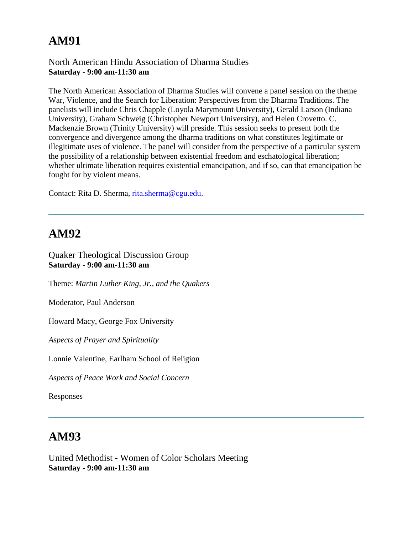#### North American Hindu Association of Dharma Studies **Saturday - 9:00 am-11:30 am**

The North American Association of Dharma Studies will convene a panel session on the theme War, Violence, and the Search for Liberation: Perspectives from the Dharma Traditions. The panelists will include Chris Chapple (Loyola Marymount University), Gerald Larson (Indiana University), Graham Schweig (Christopher Newport University), and Helen Crovetto. C. Mackenzie Brown (Trinity University) will preside. This session seeks to present both the convergence and divergence among the dharma traditions on what constitutes legitimate or illegitimate uses of violence. The panel will consider from the perspective of a particular system the possibility of a relationship between existential freedom and eschatological liberation; whether ultimate liberation requires existential emancipation, and if so, can that emancipation be fought for by violent means.

Contact: Rita D. Sherma, [rita.sherma@cgu.edu.](mailto:rita.sherma@cgu.edu)

#### **AM92**

Quaker Theological Discussion Group **Saturday - 9:00 am-11:30 am**

Theme: *Martin Luther King, Jr., and the Quakers*

Moderator, Paul Anderson

Howard Macy, George Fox University

*Aspects of Prayer and Spirituality*

Lonnie Valentine, Earlham School of Religion

*Aspects of Peace Work and Social Concern*

Responses

#### **AM93**

United Methodist - Women of Color Scholars Meeting **Saturday - 9:00 am-11:30 am**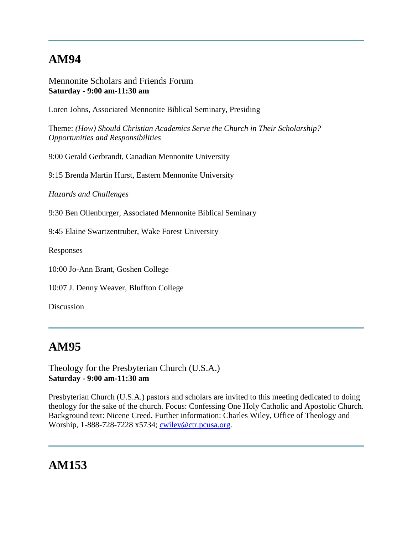Mennonite Scholars and Friends Forum **Saturday - 9:00 am-11:30 am**

Loren Johns, Associated Mennonite Biblical Seminary, Presiding

Theme: *(How) Should Christian Academics Serve the Church in Their Scholarship? Opportunities and Responsibilities*

9:00 Gerald Gerbrandt, Canadian Mennonite University

9:15 Brenda Martin Hurst, Eastern Mennonite University

*Hazards and Challenges*

9:30 Ben Ollenburger, Associated Mennonite Biblical Seminary

9:45 Elaine Swartzentruber, Wake Forest University

Responses

10:00 Jo-Ann Brant, Goshen College

10:07 J. Denny Weaver, Bluffton College

Discussion

#### **AM95**

Theology for the Presbyterian Church (U.S.A.) **Saturday - 9:00 am-11:30 am**

Presbyterian Church (U.S.A.) pastors and scholars are invited to this meeting dedicated to doing theology for the sake of the church. Focus: Confessing One Holy Catholic and Apostolic Church. Background text: Nicene Creed. Further information: Charles Wiley, Office of Theology and Worship, 1-888-728-7228 x5734; [cwiley@ctr.pcusa.org.](mailto:cwiley@ctr.pcusa.org)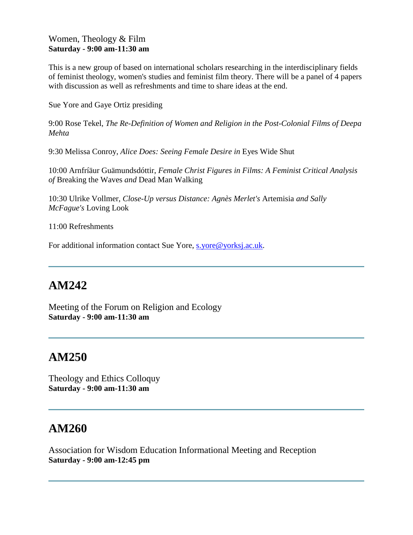#### Women, Theology & Film **Saturday - 9:00 am-11:30 am**

This is a new group of based on international scholars researching in the interdisciplinary fields of feminist theology, women's studies and feminist film theory. There will be a panel of 4 papers with discussion as well as refreshments and time to share ideas at the end.

Sue Yore and Gaye Ortiz presiding

9:00 Rose Tekel, *The Re-Definition of Women and Religion in the Post-Colonial Films of Deepa Mehta*

9:30 Melissa Conroy, *Alice Does: Seeing Female Desire in* Eyes Wide Shut

10:00 Arnfríäur Guämundsdóttir, *Female Christ Figures in Films: A Feminist Critical Analysis of* Breaking the Waves *and* Dead Man Walking

10:30 Ulrike Vollmer, *Close-Up versus Distance: Agnès Merlet's* Artemisia *and Sally McFague's* Loving Look

11:00 Refreshments

For additional information contact Sue Yore, [s.yore@yorksj.ac.uk.](mailto:s.yore@yorksj.ac.uk)

### **AM242**

Meeting of the Forum on Religion and Ecology **Saturday - 9:00 am-11:30 am**

#### **AM250**

Theology and Ethics Colloquy **Saturday - 9:00 am-11:30 am**

### **AM260**

Association for Wisdom Education Informational Meeting and Reception **Saturday - 9:00 am-12:45 pm**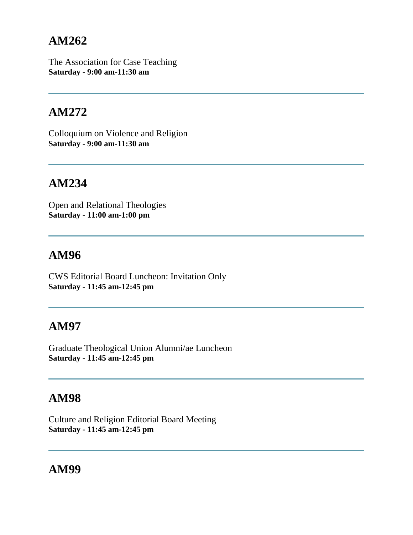The Association for Case Teaching **Saturday - 9:00 am-11:30 am**

## **AM272**

Colloquium on Violence and Religion **Saturday - 9:00 am-11:30 am**

### **AM234**

Open and Relational Theologies **Saturday - 11:00 am-1:00 pm**

### **AM96**

CWS Editorial Board Luncheon: Invitation Only **Saturday - 11:45 am-12:45 pm**

### **AM97**

Graduate Theological Union Alumni/ae Luncheon **Saturday - 11:45 am-12:45 pm**

# **AM98**

Culture and Religion Editorial Board Meeting **Saturday - 11:45 am-12:45 pm**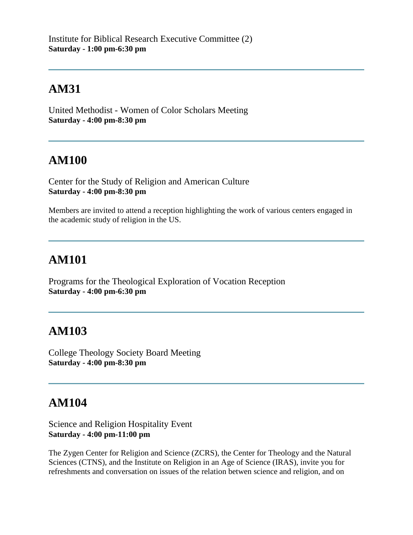United Methodist - Women of Color Scholars Meeting **Saturday - 4:00 pm-8:30 pm**

# **AM100**

Center for the Study of Religion and American Culture **Saturday - 4:00 pm-8:30 pm**

Members are invited to attend a reception highlighting the work of various centers engaged in the academic study of religion in the US.

# **AM101**

Programs for the Theological Exploration of Vocation Reception **Saturday - 4:00 pm-6:30 pm**

# **AM103**

College Theology Society Board Meeting **Saturday - 4:00 pm-8:30 pm**

# **AM104**

Science and Religion Hospitality Event **Saturday - 4:00 pm-11:00 pm**

The Zygen Center for Religion and Science (ZCRS), the Center for Theology and the Natural Sciences (CTNS), and the Institute on Religion in an Age of Science (IRAS), invite you for refreshments and conversation on issues of the relation betwen science and religion, and on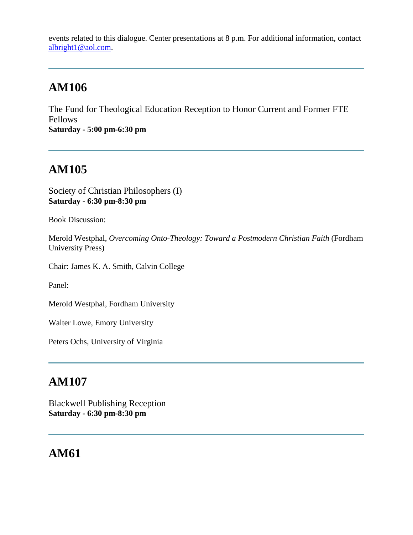events related to this dialogue. Center presentations at 8 p.m. For additional information, contact [albright1@aol.com.](mailto:albright1@aol.com)

# **AM106**

The Fund for Theological Education Reception to Honor Current and Former FTE Fellows **Saturday - 5:00 pm-6:30 pm**

# **AM105**

Society of Christian Philosophers (I) **Saturday - 6:30 pm-8:30 pm**

Book Discussion:

Merold Westphal, *Overcoming Onto-Theology: Toward a Postmodern Christian Faith* (Fordham University Press)

Chair: James K. A. Smith, Calvin College

Panel:

Merold Westphal, Fordham University

Walter Lowe, Emory University

Peters Ochs, University of Virginia

# **AM107**

Blackwell Publishing Reception **Saturday - 6:30 pm-8:30 pm**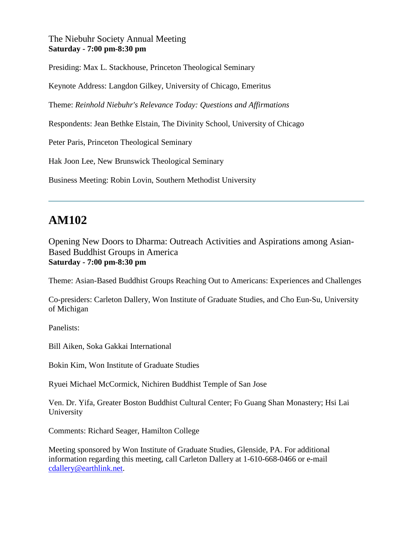#### The Niebuhr Society Annual Meeting **Saturday - 7:00 pm-8:30 pm**

Presiding: Max L. Stackhouse, Princeton Theological Seminary

Keynote Address: Langdon Gilkey, University of Chicago, Emeritus

Theme: *Reinhold Niebuhr's Relevance Today: Questions and Affirmations*

Respondents: Jean Bethke Elstain, The Divinity School, University of Chicago

Peter Paris, Princeton Theological Seminary

Hak Joon Lee, New Brunswick Theological Seminary

Business Meeting: Robin Lovin, Southern Methodist University

# **AM102**

Opening New Doors to Dharma: Outreach Activities and Aspirations among Asian-Based Buddhist Groups in America **Saturday - 7:00 pm-8:30 pm**

Theme: Asian-Based Buddhist Groups Reaching Out to Americans: Experiences and Challenges

Co-presiders: Carleton Dallery, Won Institute of Graduate Studies, and Cho Eun-Su, University of Michigan

Panelists:

Bill Aiken, Soka Gakkai International

Bokin Kim, Won Institute of Graduate Studies

Ryuei Michael McCormick, Nichiren Buddhist Temple of San Jose

Ven. Dr. Yifa, Greater Boston Buddhist Cultural Center; Fo Guang Shan Monastery; Hsi Lai University

Comments: Richard Seager, Hamilton College

Meeting sponsored by Won Institute of Graduate Studies, Glenside, PA. For additional information regarding this meeting, call Carleton Dallery at 1-610-668-0466 or e-mail [cdallery@earthlink.net.](mailto:cdallery@earthlink.net)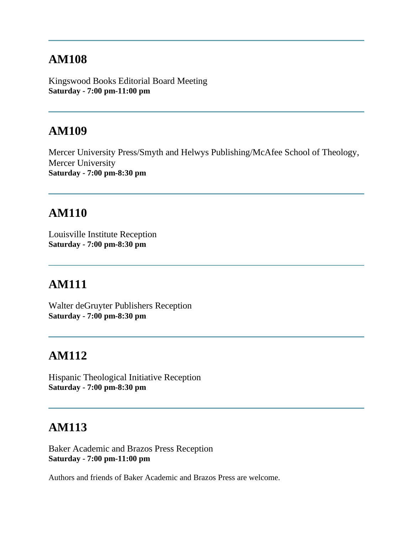Kingswood Books Editorial Board Meeting **Saturday - 7:00 pm-11:00 pm**

### **AM109**

Mercer University Press/Smyth and Helwys Publishing/McAfee School of Theology, Mercer University **Saturday - 7:00 pm-8:30 pm**

#### **AM110**

Louisville Institute Reception **Saturday - 7:00 pm-8:30 pm**

### **AM111**

Walter deGruyter Publishers Reception **Saturday - 7:00 pm-8:30 pm**

### **AM112**

Hispanic Theological Initiative Reception **Saturday - 7:00 pm-8:30 pm**

### **AM113**

Baker Academic and Brazos Press Reception **Saturday - 7:00 pm-11:00 pm**

Authors and friends of Baker Academic and Brazos Press are welcome.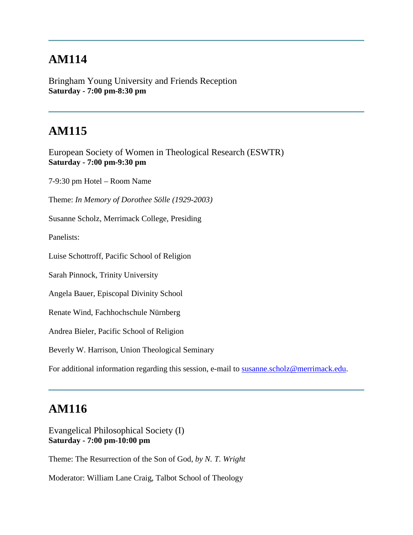Bringham Young University and Friends Reception **Saturday - 7:00 pm-8:30 pm**

# **AM115**

European Society of Women in Theological Research (ESWTR) **Saturday - 7:00 pm-9:30 pm**

7-9:30 pm Hotel – Room Name

Theme: *In Memory of Dorothee Sölle (1929-2003)*

Susanne Scholz, Merrimack College, Presiding

Panelists:

Luise Schottroff, Pacific School of Religion

Sarah Pinnock, Trinity University

Angela Bauer, Episcopal Divinity School

Renate Wind, Fachhochschule Nürnberg

Andrea Bieler, Pacific School of Religion

Beverly W. Harrison, Union Theological Seminary

For additional information regarding this session, e-mail to [susanne.scholz@merrimack.edu.](mailto:susanne.scholz@merrimack.edu)

#### **AM116**

Evangelical Philosophical Society (I) **Saturday - 7:00 pm-10:00 pm**

Theme: The Resurrection of the Son of God, *by N. T. Wright*

Moderator: William Lane Craig, Talbot School of Theology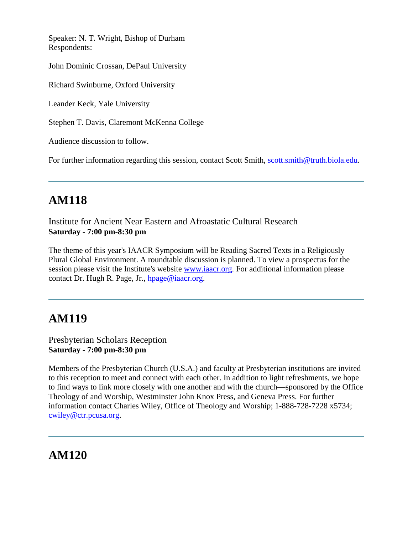Speaker: N. T. Wright, Bishop of Durham Respondents:

John Dominic Crossan, DePaul University

Richard Swinburne, Oxford University

Leander Keck, Yale University

Stephen T. Davis, Claremont McKenna College

Audience discussion to follow.

For further information regarding this session, contact Scott Smith, [scott.smith@truth.biola.edu.](mailto:scott.smith@truth.biola.edu)

# **AM118**

Institute for Ancient Near Eastern and Afroastatic Cultural Research **Saturday - 7:00 pm-8:30 pm**

The theme of this year's IAACR Symposium will be Reading Sacred Texts in a Religiously Plural Global Environment. A roundtable discussion is planned. To view a prospectus for the session please visit the Institute's website [www.iaacr.org.](http://www.iaacr.org/) For additional information please contact Dr. Hugh R. Page, Jr., [hpage@iaacr.org.](mailto:hpage@iaacr.org)

### **AM119**

Presbyterian Scholars Reception **Saturday - 7:00 pm-8:30 pm**

Members of the Presbyterian Church (U.S.A.) and faculty at Presbyterian institutions are invited to this reception to meet and connect with each other. In addition to light refreshments, we hope to find ways to link more closely with one another and with the church—sponsored by the Office Theology of and Worship, Westminster John Knox Press, and Geneva Press. For further information contact Charles Wiley, Office of Theology and Worship; 1-888-728-7228 x5734; [cwiley@ctr.pcusa.org.](mailto:cwiley@ctr.pcusa.org)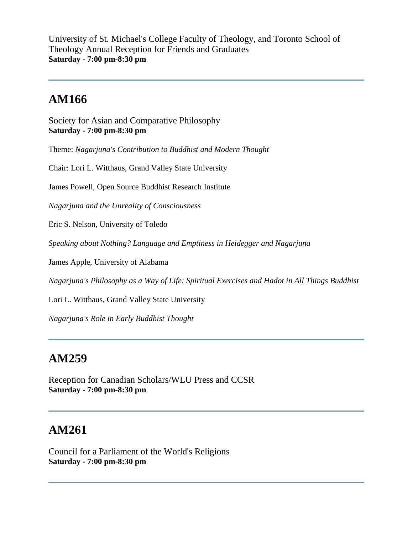University of St. Michael's College Faculty of Theology, and Toronto School of Theology Annual Reception for Friends and Graduates **Saturday - 7:00 pm-8:30 pm**

## **AM166**

Society for Asian and Comparative Philosophy **Saturday - 7:00 pm-8:30 pm**

Theme: *Nagarjuna's Contribution to Buddhist and Modern Thought*

Chair: Lori L. Witthaus, Grand Valley State University

James Powell, Open Source Buddhist Research Institute

*Nagarjuna and the Unreality of Consciousness*

Eric S. Nelson, University of Toledo

*Speaking about Nothing? Language and Emptiness in Heidegger and Nagarjuna*

James Apple, University of Alabama

*Nagarjuna's Philosophy as a Way of Life: Spiritual Exercises and Hadot in All Things Buddhist*

Lori L. Witthaus, Grand Valley State University

*Nagarjuna's Role in Early Buddhist Thought*

#### **AM259**

Reception for Canadian Scholars/WLU Press and CCSR **Saturday - 7:00 pm-8:30 pm**

### **AM261**

Council for a Parliament of the World's Religions **Saturday - 7:00 pm-8:30 pm**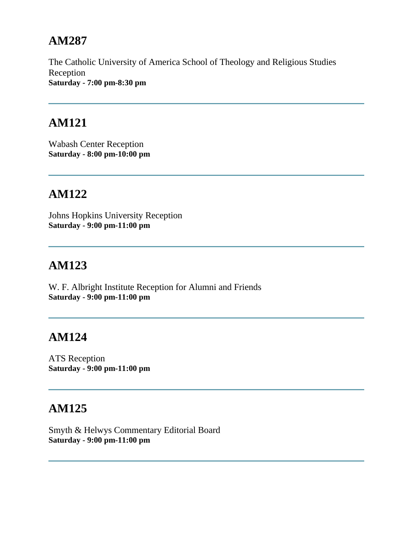The Catholic University of America School of Theology and Religious Studies Reception **Saturday - 7:00 pm-8:30 pm**

#### **AM121**

Wabash Center Reception **Saturday - 8:00 pm-10:00 pm**

### **AM122**

Johns Hopkins University Reception **Saturday - 9:00 pm-11:00 pm**

# **AM123**

W. F. Albright Institute Reception for Alumni and Friends **Saturday - 9:00 pm-11:00 pm**

# **AM124**

ATS Reception **Saturday - 9:00 pm-11:00 pm**

# **AM125**

Smyth & Helwys Commentary Editorial Board **Saturday - 9:00 pm-11:00 pm**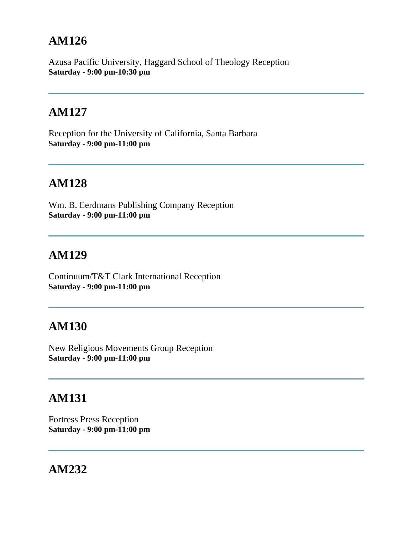Azusa Pacific University, Haggard School of Theology Reception **Saturday - 9:00 pm-10:30 pm**

## **AM127**

Reception for the University of California, Santa Barbara **Saturday - 9:00 pm-11:00 pm**

### **AM128**

Wm. B. Eerdmans Publishing Company Reception **Saturday - 9:00 pm-11:00 pm**

# **AM129**

Continuum/T&T Clark International Reception **Saturday - 9:00 pm-11:00 pm**

# **AM130**

New Religious Movements Group Reception **Saturday - 9:00 pm-11:00 pm**

# **AM131**

Fortress Press Reception **Saturday - 9:00 pm-11:00 pm**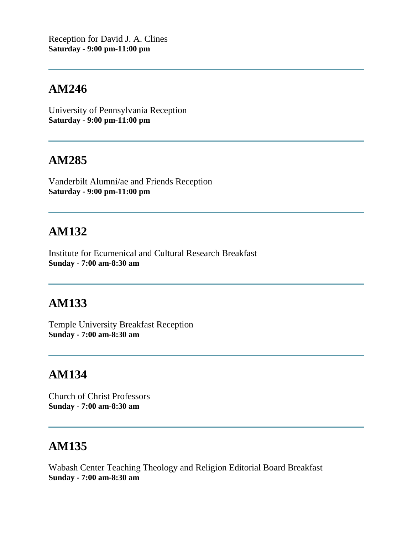Reception for David J. A. Clines **Saturday - 9:00 pm-11:00 pm**

### **AM246**

University of Pennsylvania Reception **Saturday - 9:00 pm-11:00 pm**

#### **AM285**

Vanderbilt Alumni/ae and Friends Reception **Saturday - 9:00 pm-11:00 pm**

#### **AM132**

Institute for Ecumenical and Cultural Research Breakfast **Sunday - 7:00 am-8:30 am**

### **AM133**

Temple University Breakfast Reception **Sunday - 7:00 am-8:30 am**

#### **AM134**

Church of Christ Professors **Sunday - 7:00 am-8:30 am**

#### **AM135**

Wabash Center Teaching Theology and Religion Editorial Board Breakfast **Sunday - 7:00 am-8:30 am**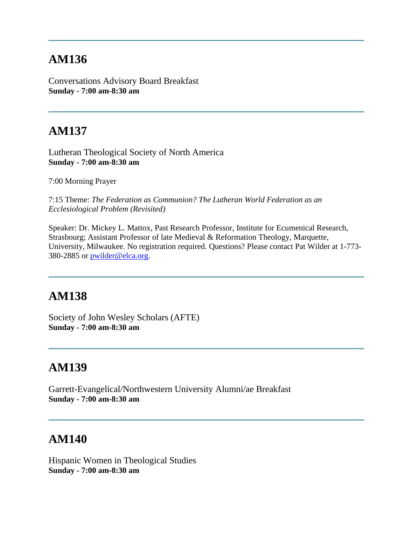Conversations Advisory Board Breakfast **Sunday - 7:00 am-8:30 am**

# **AM137**

Lutheran Theological Society of North America **Sunday - 7:00 am-8:30 am**

7:00 Morning Prayer

7:15 Theme: *The Federation as Communion? The Lutheran World Federation as an Ecclesiological Problem (Revisited)*

Speaker: Dr. Mickey L. Mattox, Past Research Professor, Institute for Ecumenical Research, Strasbourg; Assistant Professor of late Medieval & Reformation Theology, Marquette, University, Milwaukee. No registration required. Questions? Please contact Pat Wilder at 1-773- 380-2885 or [pwilder@elca.org.](mailto:pwilder@elca.org)

#### **AM138**

Society of John Wesley Scholars (AFTE) **Sunday - 7:00 am-8:30 am**

### **AM139**

Garrett-Evangelical/Northwestern University Alumni/ae Breakfast **Sunday - 7:00 am-8:30 am**

#### **AM140**

Hispanic Women in Theological Studies **Sunday - 7:00 am-8:30 am**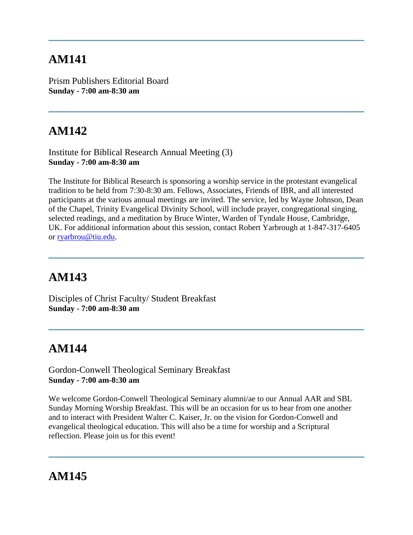Prism Publishers Editorial Board **Sunday - 7:00 am-8:30 am**

# **AM142**

Institute for Biblical Research Annual Meeting (3) **Sunday - 7:00 am-8:30 am**

The Institute for Biblical Research is sponsoring a worship service in the protestant evangelical tradition to be held from 7:30-8:30 am. Fellows, Associates, Friends of IBR, and all interested participants at the various annual meetings are invited. The service, led by Wayne Johnson, Dean of the Chapel, Trinity Evangelical Divinity School, will include prayer, congregational singing, selected readings, and a meditation by Bruce Winter, Warden of Tyndale House, Cambridge, UK. For additional information about this session, contact Robert Yarbrough at 1-847-317-6405 or [ryarbrou@tiu.edu.](mailto:ryarbrou@tiu.edu)

# **AM143**

Disciples of Christ Faculty/ Student Breakfast **Sunday - 7:00 am-8:30 am**

# **AM144**

Gordon-Conwell Theological Seminary Breakfast **Sunday - 7:00 am-8:30 am**

We welcome Gordon-Conwell Theological Seminary alumni/ae to our Annual AAR and SBL Sunday Morning Worship Breakfast. This will be an occasion for us to hear from one another and to interact with President Walter C. Kaiser, Jr. on the vision for Gordon-Conwell and evangelical theological education. This will also be a time for worship and a Scriptural reflection. Please join us for this event!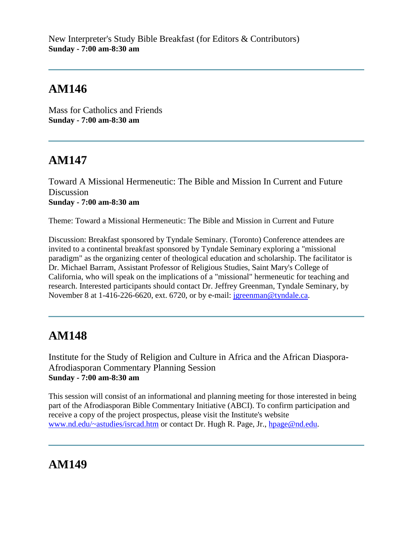New Interpreter's Study Bible Breakfast (for Editors & Contributors) **Sunday - 7:00 am-8:30 am**

## **AM146**

Mass for Catholics and Friends **Sunday - 7:00 am-8:30 am**

# **AM147**

Toward A Missional Hermeneutic: The Bible and Mission In Current and Future **Discussion Sunday - 7:00 am-8:30 am**

Theme: Toward a Missional Hermeneutic: The Bible and Mission in Current and Future

Discussion: Breakfast sponsored by Tyndale Seminary. (Toronto) Conference attendees are invited to a continental breakfast sponsored by Tyndale Seminary exploring a "missional paradigm" as the organizing center of theological education and scholarship. The facilitator is Dr. Michael Barram, Assistant Professor of Religious Studies, Saint Mary's College of California, who will speak on the implications of a "missional" hermeneutic for teaching and research. Interested participants should contact Dr. Jeffrey Greenman, Tyndale Seminary, by November 8 at 1-416-226-6620, ext. 6720, or by e-mail: [jgreenman@tyndale.ca.](mailto:jgreenman@tyndale.ca)

### **AM148**

Institute for the Study of Religion and Culture in Africa and the African Diaspora-Afrodiasporan Commentary Planning Session **Sunday - 7:00 am-8:30 am**

This session will consist of an informational and planning meeting for those interested in being part of the Afrodiasporan Bible Commentary Initiative (ABCI). To confirm participation and receive a copy of the project prospectus, please visit the Institute's website [www.nd.edu/~astudies/isrcad.htm](http://www.nd.edu/~astudies/isrcad.htm) or contact Dr. Hugh R. Page, Jr., [hpage@nd.edu.](mailto:hpage@nd.edu)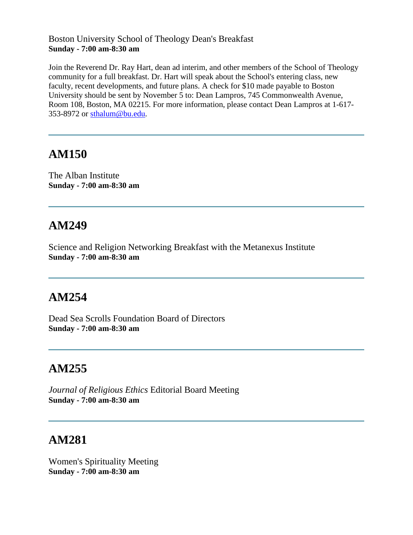#### Boston University School of Theology Dean's Breakfast **Sunday - 7:00 am-8:30 am**

Join the Reverend Dr. Ray Hart, dean ad interim, and other members of the School of Theology community for a full breakfast. Dr. Hart will speak about the School's entering class, new faculty, recent developments, and future plans. A check for \$10 made payable to Boston University should be sent by November 5 to: Dean Lampros, 745 Commonwealth Avenue, Room 108, Boston, MA 02215. For more information, please contact Dean Lampros at 1-617- 353-8972 or [sthalum@bu.edu.](mailto:sthalum@bu.edu)

## **AM150**

The Alban Institute **Sunday - 7:00 am-8:30 am**

# **AM249**

Science and Religion Networking Breakfast with the Metanexus Institute **Sunday - 7:00 am-8:30 am**

# **AM254**

Dead Sea Scrolls Foundation Board of Directors **Sunday - 7:00 am-8:30 am**

# **AM255**

*Journal of Religious Ethics* Editorial Board Meeting **Sunday - 7:00 am-8:30 am**

### **AM281**

Women's Spirituality Meeting **Sunday - 7:00 am-8:30 am**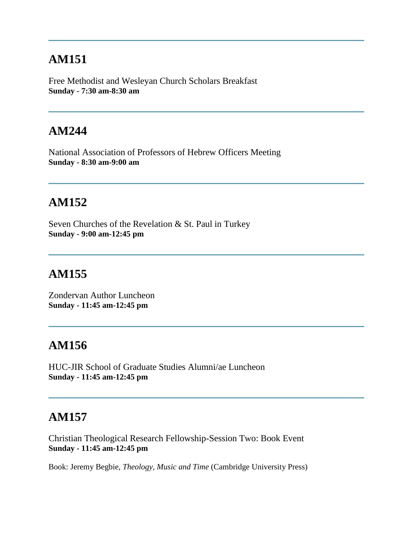Free Methodist and Wesleyan Church Scholars Breakfast **Sunday - 7:30 am-8:30 am**

### **AM244**

National Association of Professors of Hebrew Officers Meeting **Sunday - 8:30 am-9:00 am**

### **AM152**

Seven Churches of the Revelation & St. Paul in Turkey **Sunday - 9:00 am-12:45 pm**

#### **AM155**

Zondervan Author Luncheon **Sunday - 11:45 am-12:45 pm**

#### **AM156**

HUC-JIR School of Graduate Studies Alumni/ae Luncheon **Sunday - 11:45 am-12:45 pm**

#### **AM157**

Christian Theological Research Fellowship-Session Two: Book Event **Sunday - 11:45 am-12:45 pm**

Book: Jeremy Begbie, *Theology, Music and Time* (Cambridge University Press)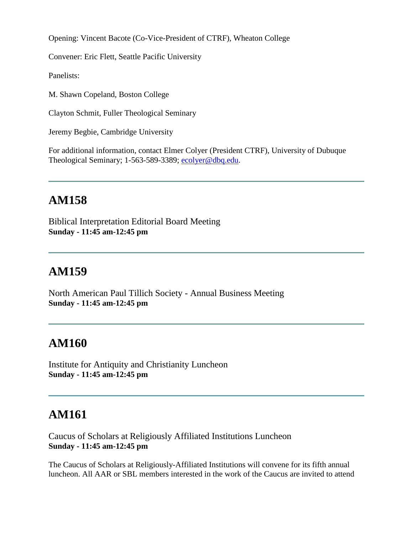Opening: Vincent Bacote (Co-Vice-President of CTRF), Wheaton College

Convener: Eric Flett, Seattle Pacific University

Panelists:

M. Shawn Copeland, Boston College

Clayton Schmit, Fuller Theological Seminary

Jeremy Begbie, Cambridge University

For additional information, contact Elmer Colyer (President CTRF), University of Dubuque Theological Seminary; 1-563-589-3389; [ecolyer@dbq.edu.](mailto:ecolyer@dbq.edu)

#### **AM158**

Biblical Interpretation Editorial Board Meeting **Sunday - 11:45 am-12:45 pm**

#### **AM159**

North American Paul Tillich Society - Annual Business Meeting **Sunday - 11:45 am-12:45 pm**

#### **AM160**

Institute for Antiquity and Christianity Luncheon **Sunday - 11:45 am-12:45 pm**

### **AM161**

Caucus of Scholars at Religiously Affiliated Institutions Luncheon **Sunday - 11:45 am-12:45 pm**

The Caucus of Scholars at Religiously-Affiliated Institutions will convene for its fifth annual luncheon. All AAR or SBL members interested in the work of the Caucus are invited to attend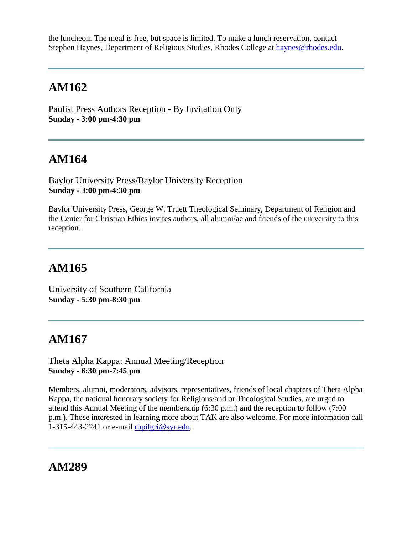the luncheon. The meal is free, but space is limited. To make a lunch reservation, contact Stephen Haynes, Department of Religious Studies, Rhodes College at [haynes@rhodes.edu.](mailto:haynes@rhodes.edu)

# **AM162**

Paulist Press Authors Reception - By Invitation Only **Sunday - 3:00 pm-4:30 pm**

# **AM164**

Baylor University Press/Baylor University Reception **Sunday - 3:00 pm-4:30 pm**

Baylor University Press, George W. Truett Theological Seminary, Department of Religion and the Center for Christian Ethics invites authors, all alumni/ae and friends of the university to this reception.

# **AM165**

University of Southern California **Sunday - 5:30 pm-8:30 pm**

### **AM167**

Theta Alpha Kappa: Annual Meeting/Reception **Sunday - 6:30 pm-7:45 pm**

Members, alumni, moderators, advisors, representatives, friends of local chapters of Theta Alpha Kappa, the national honorary society for Religious/and or Theological Studies, are urged to attend this Annual Meeting of the membership (6:30 p.m.) and the reception to follow (7:00 p.m.). Those interested in learning more about TAK are also welcome. For more information call 1-315-443-2241 or e-mail  $rbpilgri@syr.edu$ .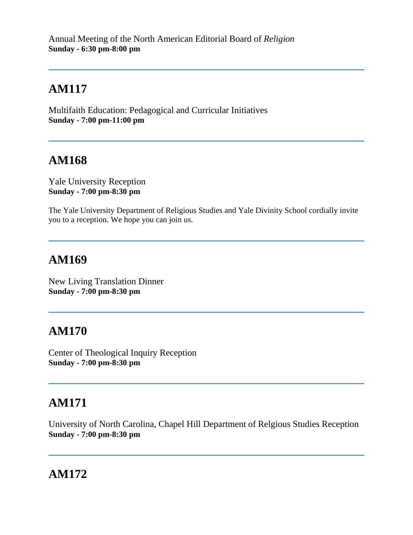Multifaith Education: Pedagogical and Curricular Initiatives **Sunday - 7:00 pm-11:00 pm**

# **AM168**

Yale University Reception **Sunday - 7:00 pm-8:30 pm**

The Yale University Department of Religious Studies and Yale Divinity School cordially invite you to a reception. We hope you can join us.

## **AM169**

New Living Translation Dinner **Sunday - 7:00 pm-8:30 pm**

# **AM170**

Center of Theological Inquiry Reception **Sunday - 7:00 pm-8:30 pm**

# **AM171**

University of North Carolina, Chapel Hill Department of Relgious Studies Reception **Sunday - 7:00 pm-8:30 pm**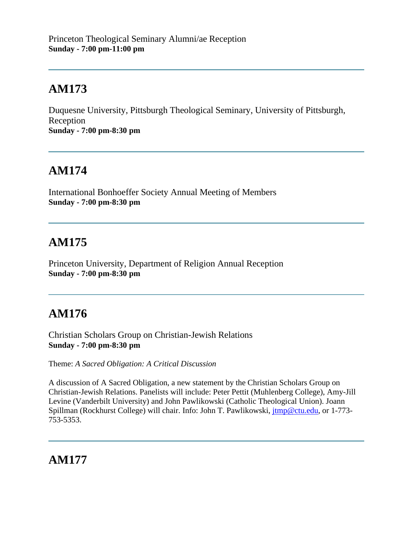Duquesne University, Pittsburgh Theological Seminary, University of Pittsburgh, Reception **Sunday - 7:00 pm-8:30 pm**

# **AM174**

International Bonhoeffer Society Annual Meeting of Members **Sunday - 7:00 pm-8:30 pm**

# **AM175**

Princeton University, Department of Religion Annual Reception **Sunday - 7:00 pm-8:30 pm**

# **AM176**

Christian Scholars Group on Christian-Jewish Relations **Sunday - 7:00 pm-8:30 pm**

Theme: *A Sacred Obligation: A Critical Discussion*

A discussion of A Sacred Obligation, a new statement by the Christian Scholars Group on Christian-Jewish Relations. Panelists will include: Peter Pettit (Muhlenberg College), Amy-Jill Levine (Vanderbilt University) and John Pawlikowski (Catholic Theological Union). Joann Spillman (Rockhurst College) will chair. Info: John T. Pawlikowski, [jtmp@ctu.edu,](mailto:jtmp@ctu.edu) or 1-773-753-5353.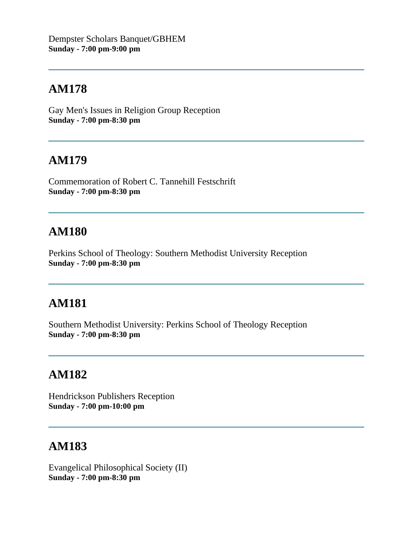Gay Men's Issues in Religion Group Reception **Sunday - 7:00 pm-8:30 pm**

## **AM179**

Commemoration of Robert C. Tannehill Festschrift **Sunday - 7:00 pm-8:30 pm**

### **AM180**

Perkins School of Theology: Southern Methodist University Reception **Sunday - 7:00 pm-8:30 pm**

# **AM181**

Southern Methodist University: Perkins School of Theology Reception **Sunday - 7:00 pm-8:30 pm**

#### **AM182**

Hendrickson Publishers Reception **Sunday - 7:00 pm-10:00 pm**

### **AM183**

Evangelical Philosophical Society (II) **Sunday - 7:00 pm-8:30 pm**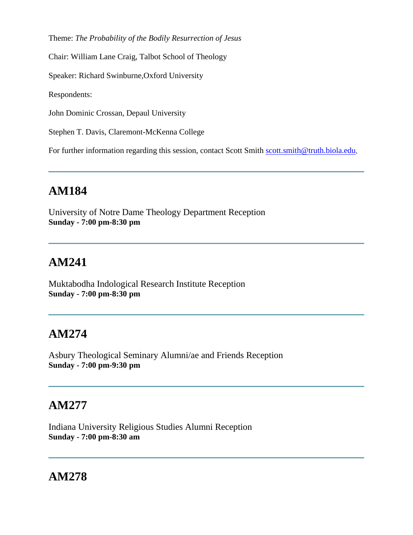Theme: *The Probability of the Bodily Resurrection of Jesus*

Chair: William Lane Craig, Talbot School of Theology

Speaker: Richard Swinburne,Oxford University

Respondents:

John Dominic Crossan, Depaul University

Stephen T. Davis, Claremont-McKenna College

For further information regarding this session, contact Scott Smith [scott.smith@truth.biola.edu.](mailto:scott.smith@truth.biola.edu)

#### **AM184**

University of Notre Dame Theology Department Reception **Sunday - 7:00 pm-8:30 pm**

#### **AM241**

Muktabodha Indological Research Institute Reception **Sunday - 7:00 pm-8:30 pm**

#### **AM274**

Asbury Theological Seminary Alumni/ae and Friends Reception **Sunday - 7:00 pm-9:30 pm**

### **AM277**

Indiana University Religious Studies Alumni Reception **Sunday - 7:00 pm-8:30 am**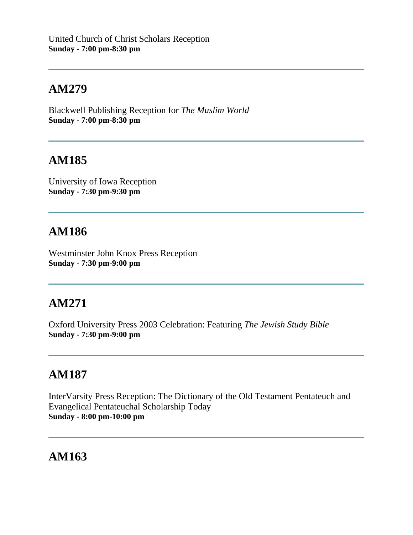Blackwell Publishing Reception for *The Muslim World* **Sunday - 7:00 pm-8:30 pm**

# **AM185**

University of Iowa Reception **Sunday - 7:30 pm-9:30 pm**

## **AM186**

Westminster John Knox Press Reception **Sunday - 7:30 pm-9:00 pm**

# **AM271**

Oxford University Press 2003 Celebration: Featuring *The Jewish Study Bible* **Sunday - 7:30 pm-9:00 pm**

### **AM187**

InterVarsity Press Reception: The Dictionary of the Old Testament Pentateuch and Evangelical Pentateuchal Scholarship Today **Sunday - 8:00 pm-10:00 pm**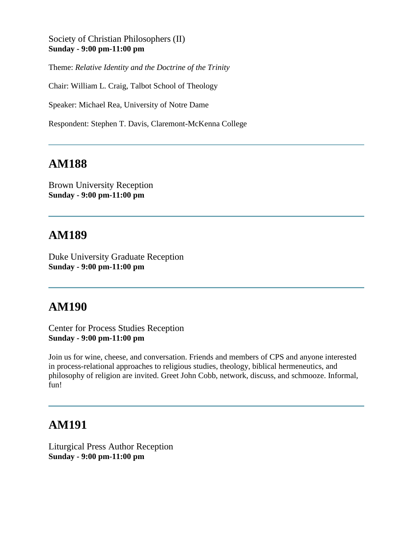Society of Christian Philosophers (II) **Sunday - 9:00 pm-11:00 pm**

Theme: *Relative Identity and the Doctrine of the Trinity*

Chair: William L. Craig, Talbot School of Theology

Speaker: Michael Rea, University of Notre Dame

Respondent: Stephen T. Davis, Claremont-McKenna College

#### **AM188**

Brown University Reception **Sunday - 9:00 pm-11:00 pm**

#### **AM189**

Duke University Graduate Reception **Sunday - 9:00 pm-11:00 pm**

#### **AM190**

Center for Process Studies Reception **Sunday - 9:00 pm-11:00 pm**

Join us for wine, cheese, and conversation. Friends and members of CPS and anyone interested in process-relational approaches to religious studies, theology, biblical hermeneutics, and philosophy of religion are invited. Greet John Cobb, network, discuss, and schmooze. Informal, fun!

#### **AM191**

Liturgical Press Author Reception **Sunday - 9:00 pm-11:00 pm**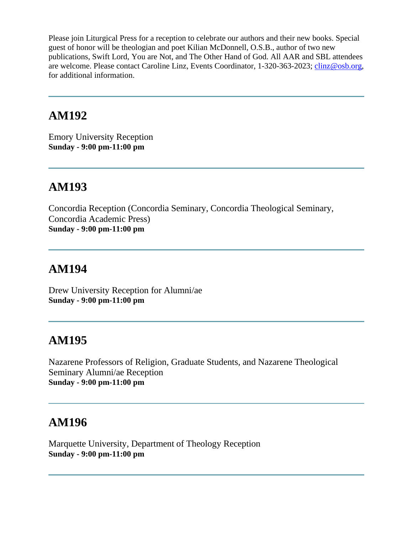Please join Liturgical Press for a reception to celebrate our authors and their new books. Special guest of honor will be theologian and poet Kilian McDonnell, O.S.B., author of two new publications, Swift Lord, You are Not, and The Other Hand of God. All AAR and SBL attendees are welcome. Please contact Caroline Linz, Events Coordinator, 1-320-363-2023; [clinz@osb.org,](mailto:clinz@osb.org) for additional information.

#### **AM192**

Emory University Reception **Sunday - 9:00 pm-11:00 pm**

## **AM193**

Concordia Reception (Concordia Seminary, Concordia Theological Seminary, Concordia Academic Press) **Sunday - 9:00 pm-11:00 pm**

## **AM194**

Drew University Reception for Alumni/ae **Sunday - 9:00 pm-11:00 pm**

### **AM195**

Nazarene Professors of Religion, Graduate Students, and Nazarene Theological Seminary Alumni/ae Reception **Sunday - 9:00 pm-11:00 pm**

#### **AM196**

Marquette University, Department of Theology Reception **Sunday - 9:00 pm-11:00 pm**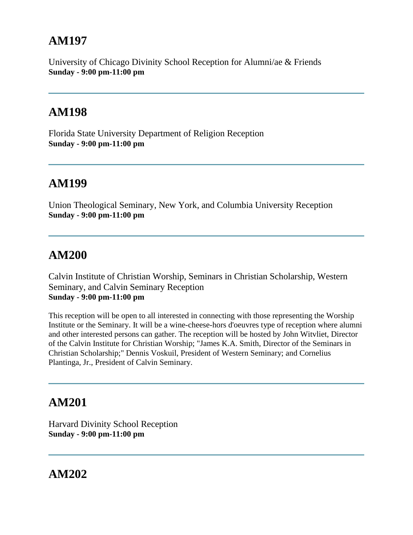University of Chicago Divinity School Reception for Alumni/ae & Friends **Sunday - 9:00 pm-11:00 pm**

#### **AM198**

Florida State University Department of Religion Reception **Sunday - 9:00 pm-11:00 pm**

#### **AM199**

Union Theological Seminary, New York, and Columbia University Reception **Sunday - 9:00 pm-11:00 pm**

## **AM200**

Calvin Institute of Christian Worship, Seminars in Christian Scholarship, Western Seminary, and Calvin Seminary Reception **Sunday - 9:00 pm-11:00 pm**

This reception will be open to all interested in connecting with those representing the Worship Institute or the Seminary. It will be a wine-cheese-hors d'oeuvres type of reception where alumni and other interested persons can gather. The reception will be hosted by John Witvliet, Director of the Calvin Institute for Christian Worship; "James K.A. Smith, Director of the Seminars in Christian Scholarship;" Dennis Voskuil, President of Western Seminary; and Cornelius Plantinga, Jr., President of Calvin Seminary.

### **AM201**

Harvard Divinity School Reception **Sunday - 9:00 pm-11:00 pm**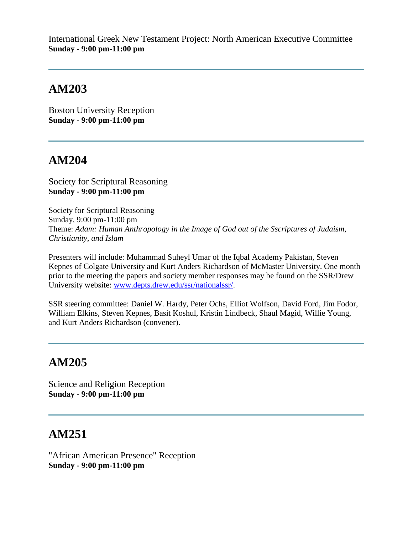International Greek New Testament Project: North American Executive Committee **Sunday - 9:00 pm-11:00 pm**

## **AM203**

Boston University Reception **Sunday - 9:00 pm-11:00 pm**

# **AM204**

Society for Scriptural Reasoning **Sunday - 9:00 pm-11:00 pm**

Society for Scriptural Reasoning Sunday, 9:00 pm-11:00 pm Theme: *Adam: Human Anthropology in the Image of God out of the Sscriptures of Judaism, Christianity, and Islam*

Presenters will include: Muhammad Suheyl Umar of the Iqbal Academy Pakistan, Steven Kepnes of Colgate University and Kurt Anders Richardson of McMaster University. One month prior to the meeting the papers and society member responses may be found on the SSR/Drew University website: [www.depts.drew.edu/ssr/nationalssr/.](http://www.depts.drew.edu/ssr/nationalssr/)

SSR steering committee: Daniel W. Hardy, Peter Ochs, Elliot Wolfson, David Ford, Jim Fodor, William Elkins, Steven Kepnes, Basit Koshul, Kristin Lindbeck, Shaul Magid, Willie Young, and Kurt Anders Richardson (convener).

# **AM205**

Science and Religion Reception **Sunday - 9:00 pm-11:00 pm**

# **AM251**

"African American Presence" Reception **Sunday - 9:00 pm-11:00 pm**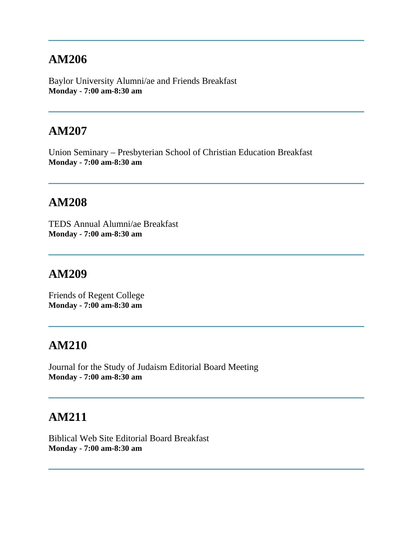Baylor University Alumni/ae and Friends Breakfast **Monday - 7:00 am-8:30 am**

### **AM207**

Union Seminary – Presbyterian School of Christian Education Breakfast **Monday - 7:00 am-8:30 am**

#### **AM208**

TEDS Annual Alumni/ae Breakfast **Monday - 7:00 am-8:30 am**

#### **AM209**

Friends of Regent College **Monday - 7:00 am-8:30 am**

### **AM210**

Journal for the Study of Judaism Editorial Board Meeting **Monday - 7:00 am-8:30 am**

#### **AM211**

Biblical Web Site Editorial Board Breakfast **Monday - 7:00 am-8:30 am**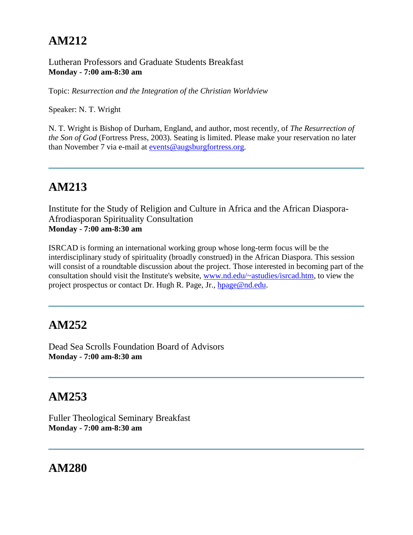#### Lutheran Professors and Graduate Students Breakfast **Monday - 7:00 am-8:30 am**

Topic: *Resurrection and the Integration of the Christian Worldview*

Speaker: N. T. Wright

N. T. Wright is Bishop of Durham, England, and author, most recently, of *The Resurrection of the Son of God* (Fortress Press, 2003). Seating is limited. Please make your reservation no later than November 7 via e-mail at [events@augsburgfortress.org.](mailto:events@augsburgfortress.org)

# **AM213**

Institute for the Study of Religion and Culture in Africa and the African Diaspora-Afrodiasporan Spirituality Consultation **Monday - 7:00 am-8:30 am**

ISRCAD is forming an international working group whose long-term focus will be the interdisciplinary study of spirituality (broadly construed) in the African Diaspora. This session will consist of a roundtable discussion about the project. Those interested in becoming part of the consultation should visit the Institute's website, [www.nd.edu/~astudies/isrcad.htm,](http://www.nd.edu/~astudies/isrcad.htm) to view the project prospectus or contact Dr. Hugh R. Page, Jr., [hpage@nd.edu.](mailto:hpage@nd.edu)

# **AM252**

Dead Sea Scrolls Foundation Board of Advisors **Monday - 7:00 am-8:30 am**

### **AM253**

Fuller Theological Seminary Breakfast **Monday - 7:00 am-8:30 am**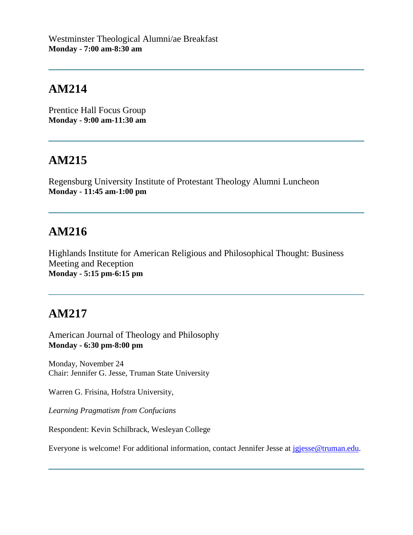Prentice Hall Focus Group **Monday - 9:00 am-11:30 am**

# **AM215**

Regensburg University Institute of Protestant Theology Alumni Luncheon **Monday - 11:45 am-1:00 pm**

# **AM216**

Highlands Institute for American Religious and Philosophical Thought: Business Meeting and Reception **Monday - 5:15 pm-6:15 pm**

# **AM217**

American Journal of Theology and Philosophy **Monday - 6:30 pm-8:00 pm**

Monday, November 24 Chair: Jennifer G. Jesse, Truman State University

Warren G. Frisina, Hofstra University,

*Learning Pragmatism from Confucians*

Respondent: Kevin Schilbrack, Wesleyan College

Everyone is welcome! For additional information, contact Jennifer Jesse at [jgjesse@truman.edu.](mailto:jgjesse@truman.edu)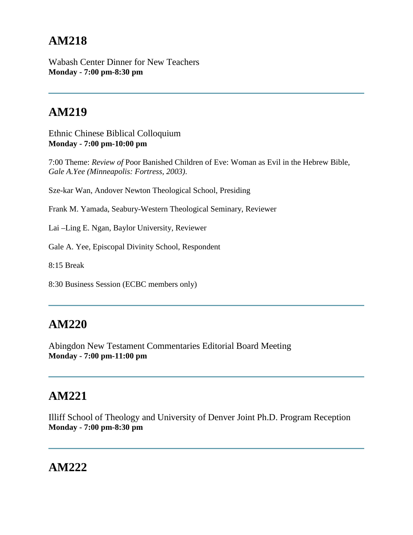Wabash Center Dinner for New Teachers **Monday - 7:00 pm-8:30 pm**

# **AM219**

Ethnic Chinese Biblical Colloquium **Monday - 7:00 pm-10:00 pm**

7:00 Theme: *Review of* Poor Banished Children of Eve: Woman as Evil in the Hebrew Bible, *Gale A.Yee (Minneapolis: Fortress, 2003)*.

Sze-kar Wan, Andover Newton Theological School, Presiding

Frank M. Yamada, Seabury-Western Theological Seminary, Reviewer

Lai –Ling E. Ngan, Baylor University, Reviewer

Gale A. Yee, Episcopal Divinity School, Respondent

8:15 Break

8:30 Business Session (ECBC members only)

#### **AM220**

Abingdon New Testament Commentaries Editorial Board Meeting **Monday - 7:00 pm-11:00 pm**

## **AM221**

Illiff School of Theology and University of Denver Joint Ph.D. Program Reception **Monday - 7:00 pm-8:30 pm**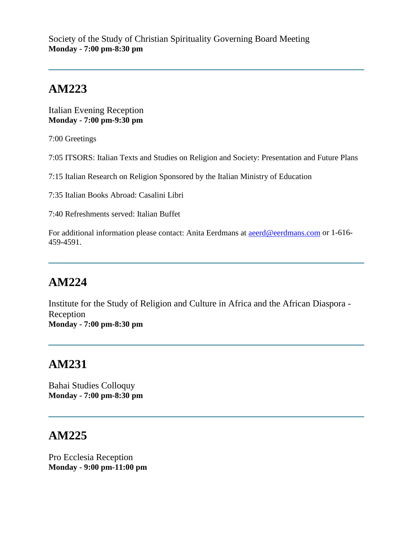Italian Evening Reception **Monday - 7:00 pm-9:30 pm**

7:00 Greetings

7:05 ITSORS: Italian Texts and Studies on Religion and Society: Presentation and Future Plans

7:15 Italian Research on Religion Sponsored by the Italian Ministry of Education

7:35 Italian Books Abroad: Casalini Libri

7:40 Refreshments served: Italian Buffet

For additional information please contact: Anita Eerdmans at **aeerd@eerdmans.com** or 1-616-459-4591.

# **AM224**

Institute for the Study of Religion and Culture in Africa and the African Diaspora - Reception **Monday - 7:00 pm-8:30 pm**

# **AM231**

Bahai Studies Colloquy **Monday - 7:00 pm-8:30 pm**

### **AM225**

Pro Ecclesia Reception **Monday - 9:00 pm-11:00 pm**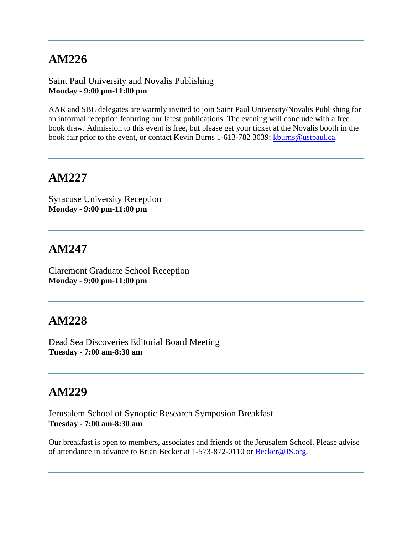Saint Paul University and Novalis Publishing **Monday - 9:00 pm-11:00 pm**

AAR and SBL delegates are warmly invited to join Saint Paul University/Novalis Publishing for an informal reception featuring our latest publications. The evening will conclude with a free book draw. Admission to this event is free, but please get your ticket at the Novalis booth in the book fair prior to the event, or contact Kevin Burns 1-613-782 3039; [kburns@ustpaul.ca.](mailto:kburns@ustpaul.ca)

#### **AM227**

Syracuse University Reception **Monday - 9:00 pm-11:00 pm**

#### **AM247**

Claremont Graduate School Reception **Monday - 9:00 pm-11:00 pm**

#### **AM228**

Dead Sea Discoveries Editorial Board Meeting **Tuesday - 7:00 am-8:30 am**

### **AM229**

Jerusalem School of Synoptic Research Symposion Breakfast **Tuesday - 7:00 am-8:30 am**

Our breakfast is open to members, associates and friends of the Jerusalem School. Please advise of attendance in advance to Brian Becker at 1-573-872-0110 or [Becker@JS.org.](mailto:Becker@JS.org)